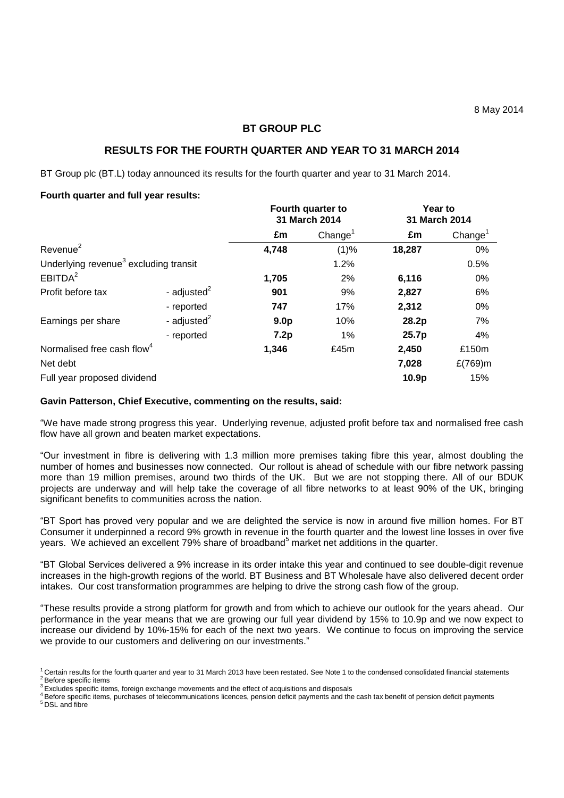## **BT GROUP PLC**

## **RESULTS FOR THE FOURTH QUARTER AND YEAR TO 31 MARCH 2014**

BT Group plc (BT.L) today announced its results for the fourth quarter and year to 31 March 2014.

### **Fourth quarter and full year results:**

|                                                   |                 | Fourth quarter to<br>31 March 2014 |                     | Year to<br>31 March 2014 |                     |
|---------------------------------------------------|-----------------|------------------------------------|---------------------|--------------------------|---------------------|
|                                                   |                 | £m                                 | Change <sup>1</sup> | £m                       | Change <sup>1</sup> |
| Revenue <sup>2</sup>                              |                 | 4,748                              | (1)%                | 18,287                   | 0%                  |
| Underlying revenue <sup>3</sup> excluding transit |                 |                                    | 1.2%                |                          | 0.5%                |
| EBITDA <sup>2</sup>                               |                 | 1,705                              | 2%                  | 6,116                    | 0%                  |
| Profit before tax                                 | - adjusted $^2$ | 901                                | 9%                  | 2,827                    | 6%                  |
|                                                   | - reported      | 747                                | 17%                 | 2,312                    | 0%                  |
| Earnings per share                                | - adjusted $^2$ | 9.0 <sub>p</sub>                   | 10%                 | 28.2p                    | 7%                  |
|                                                   | - reported      | 7.2p                               | 1%                  | 25.7p                    | 4%                  |
| Normalised free cash flow <sup>4</sup>            |                 | 1,346                              | £45m                | 2,450                    | £150m               |
| Net debt                                          |                 |                                    |                     | 7,028                    | £(769)m             |
| Full year proposed dividend                       |                 |                                    |                     | 10.9p                    | 15%                 |

#### **Gavin Patterson, Chief Executive, commenting on the results, said:**

"We have made strong progress this year. Underlying revenue, adjusted profit before tax and normalised free cash flow have all grown and beaten market expectations.

"Our investment in fibre is delivering with 1.3 million more premises taking fibre this year, almost doubling the number of homes and businesses now connected. Our rollout is ahead of schedule with our fibre network passing more than 19 million premises, around two thirds of the UK. But we are not stopping there. All of our BDUK projects are underway and will help take the coverage of all fibre networks to at least 90% of the UK, bringing significant benefits to communities across the nation.

"BT Sport has proved very popular and we are delighted the service is now in around five million homes. For BT Consumer it underpinned a record 9% growth in revenue in the fourth quarter and the lowest line losses in over five years. We achieved an excellent 79% share of broadband<sup>5</sup> market net additions in the quarter.

"BT Global Services delivered a 9% increase in its order intake this year and continued to see double-digit revenue increases in the high-growth regions of the world. BT Business and BT Wholesale have also delivered decent order intakes. Our cost transformation programmes are helping to drive the strong cash flow of the group.

"These results provide a strong platform for growth and from which to achieve our outlook for the years ahead. Our performance in the year means that we are growing our full year dividend by 15% to 10.9p and we now expect to increase our dividend by 10%-15% for each of the next two years. We continue to focus on improving the service we provide to our customers and delivering on our investments."

 $1$  Certain results for the fourth quarter and year to 31 March 2013 have been restated. See Note 1 to the condensed consolidated financial statements <sup>2</sup> Before specific items

<sup>&</sup>lt;sup>3</sup> Excludes specific items, foreign exchange movements and the effect of acquisitions and disposals

<sup>&</sup>lt;sup>4</sup> Before specific items, purchases of telecommunications licences, pension deficit payments and the cash tax benefit of pension deficit payments

<sup>5</sup> DSL and fibre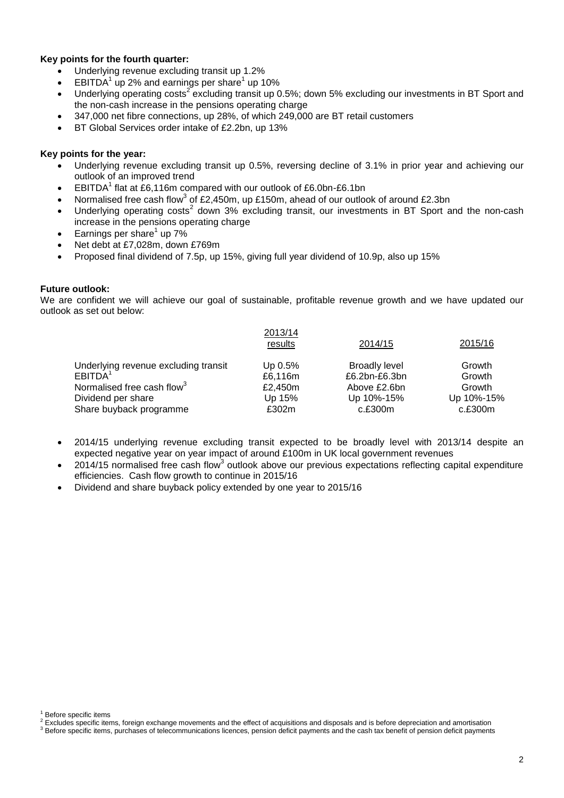## **Key points for the fourth quarter:**

- Underlying revenue excluding transit up 1.2%
- EBITDA<sup>1</sup> up 2% and earnings per share<sup>1</sup> up 10%
- Underlying operating costs<sup>2</sup> excluding transit up 0.5%; down 5% excluding our investments in BT Sport and the non-cash increase in the pensions operating charge
- 347,000 net fibre connections, up 28%, of which 249,000 are BT retail customers
- BT Global Services order intake of £2.2bn, up 13%

## **Key points for the year:**

- Underlying revenue excluding transit up 0.5%, reversing decline of 3.1% in prior year and achieving our outlook of an improved trend
- EBITDA<sup>1</sup> flat at £6,116m compared with our outlook of £6.0bn-£6.1bn
- Normalised free cash flow<sup>3</sup> of £2,450m, up £150m, ahead of our outlook of around £2.3bn
- $\bullet$  Underlying operating costs<sup>2</sup> down 3% excluding transit, our investments in BT Sport and the non-cash increase in the pensions operating charge
- **Earnings per share** up 7%
- Net debt at £7,028m, down £769m
- Proposed final dividend of 7.5p, up 15%, giving full year dividend of 10.9p, also up 15%

### **Future outlook:**

We are confident we will achieve our goal of sustainable, profitable revenue growth and we have updated our outlook as set out below:

| 2013/14<br>results | 2014/15              | 2015/16    |
|--------------------|----------------------|------------|
| Up 0.5%            | <b>Broadly level</b> | Growth     |
| £6,116m            | £6.2bn-£6.3bn        | Growth     |
| £2,450m            | Above £2.6bn         | Growth     |
| Up 15%             | Up 10%-15%           | Up 10%-15% |
| £302m              | c.E300m              | c.E300m    |
|                    |                      |            |

- 2014/15 underlying revenue excluding transit expected to be broadly level with 2013/14 despite an expected negative year on year impact of around £100m in UK local government revenues
- $\bullet$  2014/15 normalised free cash flow<sup>3</sup> outlook above our previous expectations reflecting capital expenditure efficiencies. Cash flow growth to continue in 2015/16
- Dividend and share buyback policy extended by one year to 2015/16

<sup>&</sup>lt;sup>1</sup> Before specific items

<sup>&</sup>lt;sup>2</sup> Excludes specific items, foreign exchange movements and the effect of acquisitions and disposals and is before depreciation and amortisation

<sup>&</sup>lt;sup>3</sup> Before specific items, purchases of telecommunications licences, pension deficit payments and the cash tax benefit of pension deficit payments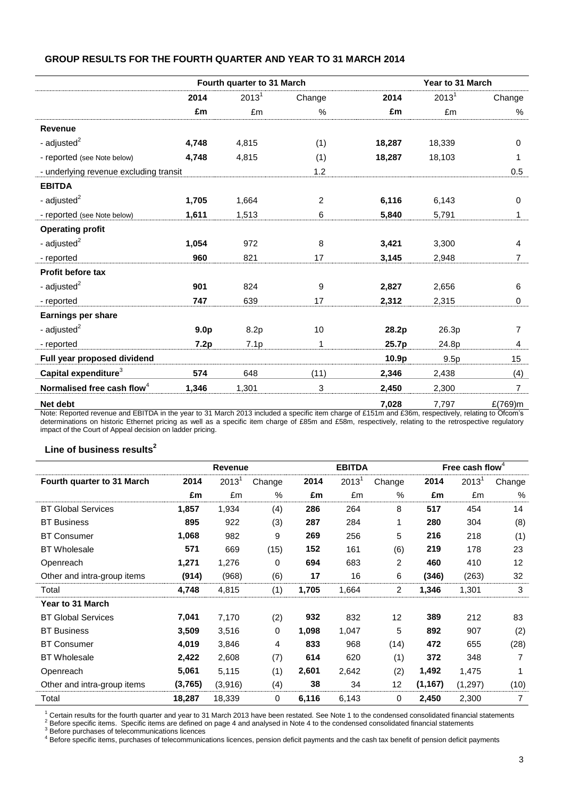## **GROUP RESULTS FOR THE FOURTH QUARTER AND YEAR TO 31 MARCH 2014**

|                                        |                  | Fourth quarter to 31 March |              |        | Year to 31 March  |                |  |  |
|----------------------------------------|------------------|----------------------------|--------------|--------|-------------------|----------------|--|--|
|                                        | 2014             | 2013 <sup>1</sup>          | Change       | 2014   | 2013 <sup>1</sup> | Change         |  |  |
|                                        | £m               | £m                         | $\%$         | £m     | £m                | $\%$           |  |  |
| <b>Revenue</b>                         |                  |                            |              |        |                   |                |  |  |
| - adjusted <sup>2</sup>                | 4,748            | 4,815                      | (1)          | 18,287 | 18,339            | $\mathbf 0$    |  |  |
| - reported (see Note below)            | 4,748            | 4,815                      | (1)          | 18,287 | 18,103            | 1              |  |  |
| - underlying revenue excluding transit |                  |                            | 1.2          |        |                   | 0.5            |  |  |
| <b>EBITDA</b>                          |                  |                            |              |        |                   |                |  |  |
| - adjusted <sup>2</sup>                | 1,705            | 1,664                      | 2            | 6,116  | 6,143             | 0              |  |  |
| - reported (see Note below)            | 1,611            | 1,513                      | 6            | 5,840  | 5,791             | $\mathbf{1}$   |  |  |
| <b>Operating profit</b>                |                  |                            |              |        |                   |                |  |  |
| - adjusted <sup>2</sup>                | 1,054            | 972                        | 8            | 3,421  | 3,300             | 4              |  |  |
| - reported                             | 960              | 821                        | 17           | 3,145  | 2,948             | $\overline{7}$ |  |  |
| <b>Profit before tax</b>               |                  |                            |              |        |                   |                |  |  |
| - adjusted <sup>2</sup>                | 901              | 824                        | 9            | 2,827  | 2,656             | 6              |  |  |
| - reported                             | 747              | 639                        | 17           | 2,312  | 2,315             | $\mathbf 0$    |  |  |
| <b>Earnings per share</b>              |                  |                            |              |        |                   |                |  |  |
| - adjusted <sup>2</sup>                | 9.0 <sub>p</sub> | 8.2p                       | 10           | 28.2p  | 26.3p             | $\overline{7}$ |  |  |
| - reported                             | 7.2p             | 7.1p                       | $\mathbf{1}$ | 25.7p  | 24.8p             | 4              |  |  |
| Full year proposed dividend            |                  |                            |              | 10.9p  | 9.5p              | 15             |  |  |
| Capital expenditure $3$                | 574              | 648                        | (11)         | 2,346  | 2,438             | (4)            |  |  |
| Normalised free cash flow <sup>4</sup> | 1,346            | 1,301                      | 3            | 2,450  | 2,300             | $\overline{7}$ |  |  |
| Net debt                               |                  |                            |              | 7,028  | 7,797             | $£(769)$ m     |  |  |

Note: Reported revenue and EBITDA in the year to 31 March 2013 included a specific item charge of £151m and £36m, respectively, relating to Ofcom's determinations on historic Ethernet pricing as well as a specific item charge of £85m and £58m, respectively, relating to the retrospective regulatory impact of the Court of Appeal decision on ladder pricing.

## **Line of business results<sup>2</sup>**

|                             |         | Revenue           |               | <b>EBITDA</b> |                   |                |          | Free cash flow <sup>4</sup> |                |  |
|-----------------------------|---------|-------------------|---------------|---------------|-------------------|----------------|----------|-----------------------------|----------------|--|
| Fourth quarter to 31 March  | 2014    | 2013 <sup>1</sup> | Change        | 2014          | 2013 <sup>1</sup> | Change         | 2014     | 2013 <sup>1</sup>           | Change         |  |
|                             | £m      | £m                | $\frac{0}{0}$ | £m            | £m                | $\%$           | £m       | £m                          | $\frac{0}{0}$  |  |
| <b>BT Global Services</b>   | 1,857   | 1,934             | (4)           | 286           | 264               | 8              | 517      | 454                         | 14             |  |
| <b>BT Business</b>          | 895     | 922               | (3)           | 287           | 284               | 1              | 280      | 304                         | (8)            |  |
| <b>BT Consumer</b>          | 1,068   | 982               | 9             | 269           | 256               | 5              | 216      | 218                         | (1)            |  |
| <b>BT</b> Wholesale         | 571     | 669               | (15)          | 152           | 161               | (6)            | 219      | 178                         | 23             |  |
| Openreach                   | 1,271   | 1,276             | 0             | 694           | 683               | 2              | 460      | 410                         | 12             |  |
| Other and intra-group items | (914)   | (968)             | (6)           | 17            | 16                | 6              | (346)    | (263)                       | 32             |  |
| Total                       | 4,748   | 4,815             | (1)           | 1,705         | 1,664             | $\overline{2}$ | 1,346    | 1,301                       | 3              |  |
| Year to 31 March            |         |                   |               |               |                   |                |          |                             |                |  |
| <b>BT Global Services</b>   | 7,041   | 7,170             | (2)           | 932           | 832               | 12             | 389      | 212                         | 83             |  |
| <b>BT Business</b>          | 3,509   | 3,516             | 0             | 1,098         | 1,047             | 5              | 892      | 907                         | (2)            |  |
| <b>BT Consumer</b>          | 4,019   | 3,846             | 4             | 833           | 968               | (14)           | 472      | 655                         | (28)           |  |
| <b>BT</b> Wholesale         | 2,422   | 2,608             | (7)           | 614           | 620               | (1)            | 372      | 348                         | 7              |  |
| Openreach                   | 5,061   | 5,115             | (1)           | 2,601         | 2,642             | (2)            | 1,492    | 1,475                       |                |  |
| Other and intra-group items | (3,765) | (3,916)           | (4)           | 38            | 34                | 12             | (1, 167) | (1,297)                     | (10)           |  |
| Total                       | 18,287  | 18,339            | 0             | 6,116         | 6,143             | $\mathbf 0$    | 2,450    | 2,300                       | $\overline{7}$ |  |

 $1$  Certain results for the fourth quarter and year to 31 March 2013 have been restated. See Note 1 to the condensed consolidated financial statements

 $^2$  Before specific items. Specific items are defined on page 4 and analysed in Note 4 to the condensed consolidated financial statements <sup>3</sup> Before purchases of telecommunications licences

<sup>4</sup> Before specific items, purchases of telecommunications licences, pension deficit payments and the cash tax benefit of pension deficit payments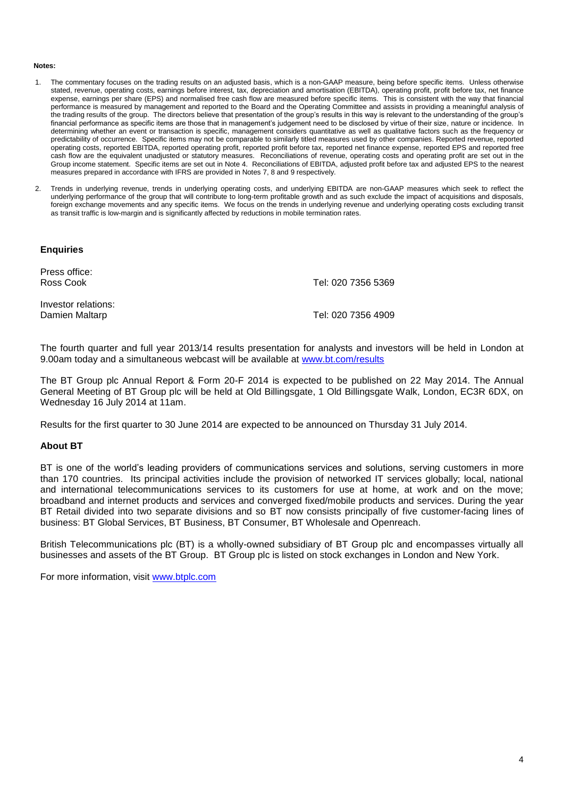#### **Notes:**

- 1. The commentary focuses on the trading results on an adjusted basis, which is a non-GAAP measure, being before specific items. Unless otherwise stated, revenue, operating costs, earnings before interest, tax, depreciation and amortisation (EBITDA), operating profit, profit before tax, net finance expense, earnings per share (EPS) and normalised free cash flow are measured before specific items. This is consistent with the way that financial performance is measured by management and reported to the Board and the Operating Committee and assists in providing a meaningful analysis of the trading results of the group. The directors believe that presentation of the group's results in this way is relevant to the understanding of the group's financial performance as specific items are those that in management's judgement need to be disclosed by virtue of their size, nature or incidence. In determining whether an event or transaction is specific, management considers quantitative as well as qualitative factors such as the frequency or predictability of occurrence. Specific items may not be comparable to similarly titled measures used by other companies. Reported revenue, reported operating costs, reported EBITDA, reported operating profit, reported profit before tax, reported net finance expense, reported EPS and reported free cash flow are the equivalent unadjusted or statutory measures. Reconciliations of revenue, operating costs and operating profit are set out in the Group income statement. Specific items are set out in Note 4. Reconciliations of EBITDA, adjusted profit before tax and adjusted EPS to the nearest measures prepared in accordance with IFRS are provided in Notes 7, 8 and 9 respectively.
- 2. Trends in underlying revenue, trends in underlying operating costs, and underlying EBITDA are non-GAAP measures which seek to reflect the underlying performance of the group that will contribute to long-term profitable growth and as such exclude the impact of acquisitions and disposals, foreign exchange movements and any specific items. We focus on the trends in underlying revenue and underlying operating costs excluding transit as transit traffic is low-margin and is significantly affected by reductions in mobile termination rates.

#### **Enquiries**

Press office:

Ross Cook Tel: 020 7356 5369

Investor relations:

Damien Maltarp Tel: 020 7356 4909

The fourth quarter and full year 2013/14 results presentation for analysts and investors will be held in London at 9.00am today and a simultaneous webcast will be available at [www.bt.com/results](http://www.bt.com/results)

The BT Group plc Annual Report & Form 20-F 2014 is expected to be published on 22 May 2014. The Annual General Meeting of BT Group plc will be held at Old Billingsgate, 1 Old Billingsgate Walk, London, EC3R 6DX, on Wednesday 16 July 2014 at 11am.

Results for the first quarter to 30 June 2014 are expected to be announced on Thursday 31 July 2014.

### **About BT**

BT is one of the world's leading providers of communications services and solutions, serving customers in more than 170 countries. Its principal activities include the provision of networked IT services globally; local, national and international telecommunications services to its customers for use at home, at work and on the move; broadband and internet products and services and converged fixed/mobile products and services. During the year BT Retail divided into two separate divisions and so BT now consists principally of five customer-facing lines of business: BT Global Services, BT Business, BT Consumer, BT Wholesale and Openreach.

British Telecommunications plc (BT) is a wholly-owned subsidiary of BT Group plc and encompasses virtually all businesses and assets of the BT Group. BT Group plc is listed on stock exchanges in London and New York.

For more information, visit [www.btplc.com](http://www.btplc.com/)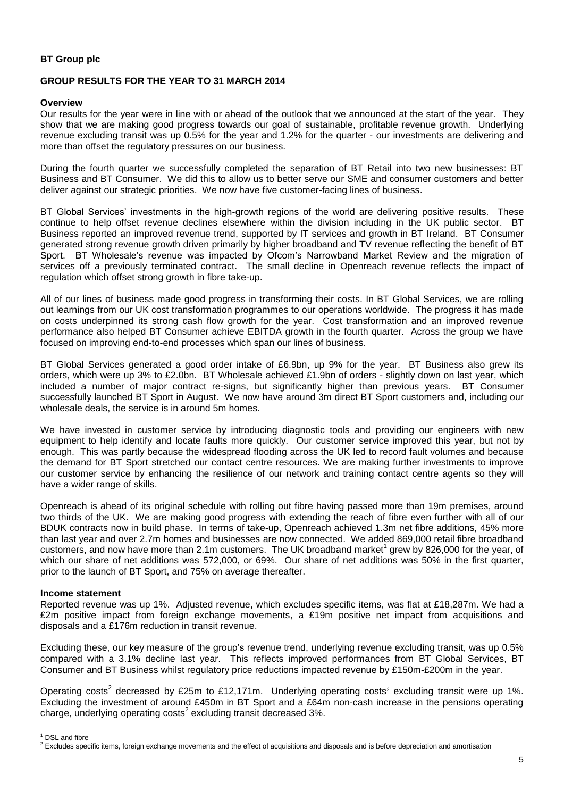## **BT Group plc**

## **GROUP RESULTS FOR THE YEAR TO 31 MARCH 2014**

### **Overview**

Our results for the year were in line with or ahead of the outlook that we announced at the start of the year. They show that we are making good progress towards our goal of sustainable, profitable revenue growth. Underlying revenue excluding transit was up 0.5% for the year and 1.2% for the quarter - our investments are delivering and more than offset the regulatory pressures on our business.

During the fourth quarter we successfully completed the separation of BT Retail into two new businesses: BT Business and BT Consumer. We did this to allow us to better serve our SME and consumer customers and better deliver against our strategic priorities. We now have five customer-facing lines of business.

BT Global Services' investments in the high-growth regions of the world are delivering positive results. These continue to help offset revenue declines elsewhere within the division including in the UK public sector. BT Business reported an improved revenue trend, supported by IT services and growth in BT Ireland. BT Consumer generated strong revenue growth driven primarily by higher broadband and TV revenue reflecting the benefit of BT Sport. BT Wholesale's revenue was impacted by Ofcom's Narrowband Market Review and the migration of services off a previously terminated contract. The small decline in Openreach revenue reflects the impact of regulation which offset strong growth in fibre take-up.

All of our lines of business made good progress in transforming their costs. In BT Global Services, we are rolling out learnings from our UK cost transformation programmes to our operations worldwide. The progress it has made on costs underpinned its strong cash flow growth for the year. Cost transformation and an improved revenue performance also helped BT Consumer achieve EBITDA growth in the fourth quarter. Across the group we have focused on improving end-to-end processes which span our lines of business.

BT Global Services generated a good order intake of £6.9bn, up 9% for the year. BT Business also grew its orders, which were up 3% to £2.0bn. BT Wholesale achieved £1.9bn of orders - slightly down on last year, which included a number of major contract re-signs, but significantly higher than previous years. BT Consumer successfully launched BT Sport in August. We now have around 3m direct BT Sport customers and, including our wholesale deals, the service is in around 5m homes.

We have invested in customer service by introducing diagnostic tools and providing our engineers with new equipment to help identify and locate faults more quickly. Our customer service improved this year, but not by enough. This was partly because the widespread flooding across the UK led to record fault volumes and because the demand for BT Sport stretched our contact centre resources. We are making further investments to improve our customer service by enhancing the resilience of our network and training contact centre agents so they will have a wider range of skills.

Openreach is ahead of its original schedule with rolling out fibre having passed more than 19m premises, around two thirds of the UK. We are making good progress with extending the reach of fibre even further with all of our BDUK contracts now in build phase. In terms of take-up, Openreach achieved 1.3m net fibre additions, 45% more than last year and over 2.7m homes and businesses are now connected. We added 869,000 retail fibre broadband customers, and now have more than 2.1m customers. The UK broadband market<sup>1</sup> grew by 826,000 for the year, of which our share of net additions was 572,000, or 69%. Our share of net additions was 50% in the first quarter, prior to the launch of BT Sport, and 75% on average thereafter.

### **Income statement**

Reported revenue was up 1%. Adjusted revenue, which excludes specific items, was flat at £18,287m. We had a £2m positive impact from foreign exchange movements, a £19m positive net impact from acquisitions and disposals and a £176m reduction in transit revenue.

Excluding these, our key measure of the group's revenue trend, underlying revenue excluding transit, was up 0.5% compared with a 3.1% decline last year. This reflects improved performances from BT Global Services, BT Consumer and BT Business whilst regulatory price reductions impacted revenue by £150m-£200m in the year.

Operating costs<sup>2</sup> decreased by £25m to £12,171m. Underlying operating costs<sup>2</sup> excluding transit were up 1%. Excluding the investment of around £450m in BT Sport and a £64m non-cash increase in the pensions operating charge, underlying operating costs<sup>2</sup> excluding transit decreased 3%.

<sup>1</sup> DSL and fibre

<sup>&</sup>lt;sup>2</sup> Excludes specific items, foreign exchange movements and the effect of acquisitions and disposals and is before depreciation and amortisation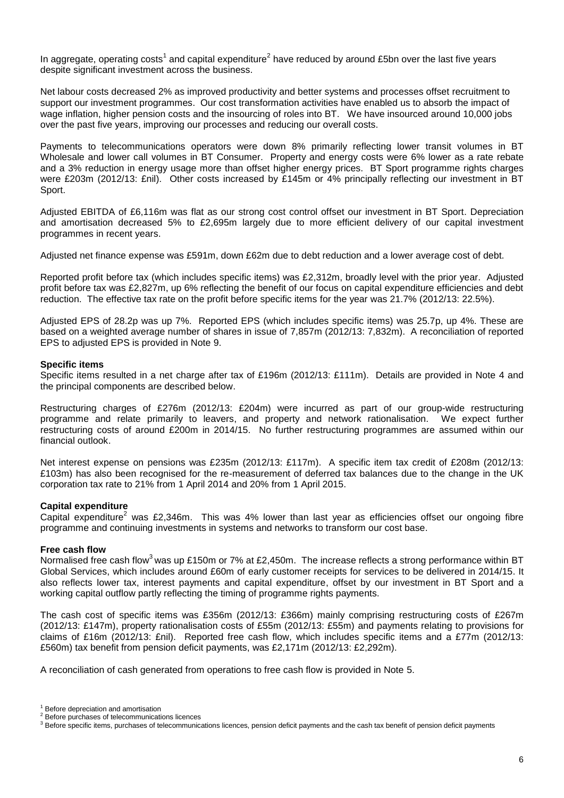In aggregate, operating costs<sup>1</sup> and capital expenditure<sup>2</sup> have reduced by around £5bn over the last five years despite significant investment across the business.

Net labour costs decreased 2% as improved productivity and better systems and processes offset recruitment to support our investment programmes. Our cost transformation activities have enabled us to absorb the impact of wage inflation, higher pension costs and the insourcing of roles into BT. We have insourced around 10,000 jobs over the past five years, improving our processes and reducing our overall costs.

Payments to telecommunications operators were down 8% primarily reflecting lower transit volumes in BT Wholesale and lower call volumes in BT Consumer. Property and energy costs were 6% lower as a rate rebate and a 3% reduction in energy usage more than offset higher energy prices. BT Sport programme rights charges were £203m (2012/13: £nil). Other costs increased by £145m or 4% principally reflecting our investment in BT Sport.

Adjusted EBITDA of £6,116m was flat as our strong cost control offset our investment in BT Sport. Depreciation and amortisation decreased 5% to £2,695m largely due to more efficient delivery of our capital investment programmes in recent years.

Adjusted net finance expense was £591m, down £62m due to debt reduction and a lower average cost of debt.

Reported profit before tax (which includes specific items) was £2,312m, broadly level with the prior year. Adjusted profit before tax was £2,827m, up 6% reflecting the benefit of our focus on capital expenditure efficiencies and debt reduction. The effective tax rate on the profit before specific items for the year was 21.7% (2012/13: 22.5%).

Adjusted EPS of 28.2p was up 7%. Reported EPS (which includes specific items) was 25.7p, up 4%. These are based on a weighted average number of shares in issue of 7,857m (2012/13: 7,832m). A reconciliation of reported EPS to adjusted EPS is provided in Note 9.

### **Specific items**

Specific items resulted in a net charge after tax of £196m (2012/13: £111m). Details are provided in Note 4 and the principal components are described below.

Restructuring charges of £276m (2012/13: £204m) were incurred as part of our group-wide restructuring programme and relate primarily to leavers, and property and network rationalisation. We expect further restructuring costs of around £200m in 2014/15. No further restructuring programmes are assumed within our financial outlook.

Net interest expense on pensions was £235m (2012/13: £117m). A specific item tax credit of £208m (2012/13: £103m) has also been recognised for the re-measurement of deferred tax balances due to the change in the UK corporation tax rate to 21% from 1 April 2014 and 20% from 1 April 2015.

### **Capital expenditure**

Capital expenditure<sup>2</sup> was £2,346m. This was 4% lower than last year as efficiencies offset our ongoing fibre programme and continuing investments in systems and networks to transform our cost base.

### **Free cash flow**

Normalised free cash flow<sup>3</sup> was up £150m or 7% at £2,450m. The increase reflects a strong performance within BT Global Services, which includes around £60m of early customer receipts for services to be delivered in 2014/15. It also reflects lower tax, interest payments and capital expenditure, offset by our investment in BT Sport and a working capital outflow partly reflecting the timing of programme rights payments.

The cash cost of specific items was £356m (2012/13: £366m) mainly comprising restructuring costs of £267m (2012/13: £147m), property rationalisation costs of £55m (2012/13: £55m) and payments relating to provisions for claims of £16m (2012/13: £nil). Reported free cash flow, which includes specific items and a £77m (2012/13: £560m) tax benefit from pension deficit payments, was £2,171m (2012/13: £2,292m).

A reconciliation of cash generated from operations to free cash flow is provided in Note 5.

<sup>1</sup> Before depreciation and amortisation

<sup>&</sup>lt;sup>2</sup> Before purchases of telecommunications licences

<sup>&</sup>lt;sup>3</sup> Before specific items, purchases of telecommunications licences, pension deficit payments and the cash tax benefit of pension deficit payments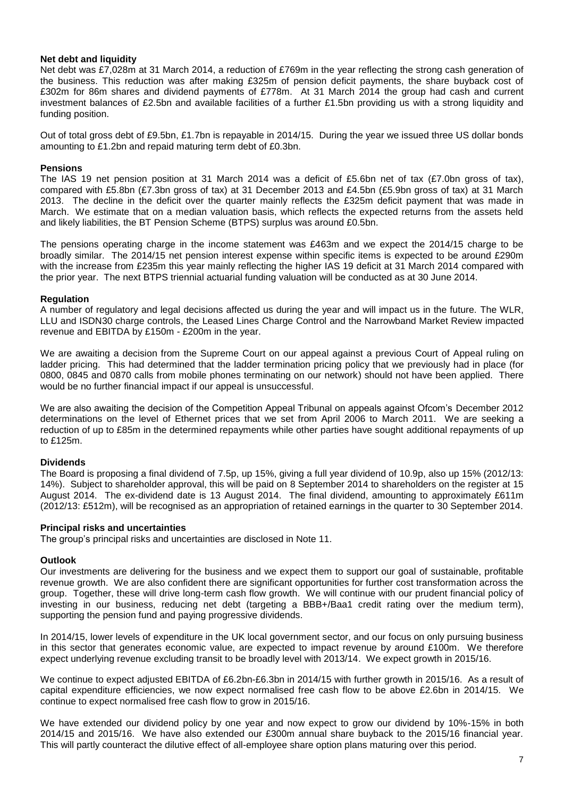### **Net debt and liquidity**

Net debt was £7,028m at 31 March 2014, a reduction of £769m in the year reflecting the strong cash generation of the business. This reduction was after making £325m of pension deficit payments, the share buyback cost of £302m for 86m shares and dividend payments of £778m. At 31 March 2014 the group had cash and current investment balances of £2.5bn and available facilities of a further £1.5bn providing us with a strong liquidity and funding position.

Out of total gross debt of £9.5bn, £1.7bn is repayable in 2014/15. During the year we issued three US dollar bonds amounting to £1.2bn and repaid maturing term debt of £0.3bn.

## **Pensions**

The IAS 19 net pension position at 31 March 2014 was a deficit of £5.6bn net of tax (£7.0bn gross of tax), compared with £5.8bn (£7.3bn gross of tax) at 31 December 2013 and £4.5bn (£5.9bn gross of tax) at 31 March 2013. The decline in the deficit over the quarter mainly reflects the £325m deficit payment that was made in March. We estimate that on a median valuation basis, which reflects the expected returns from the assets held and likely liabilities, the BT Pension Scheme (BTPS) surplus was around £0.5bn.

The pensions operating charge in the income statement was £463m and we expect the 2014/15 charge to be broadly similar. The 2014/15 net pension interest expense within specific items is expected to be around £290m with the increase from £235m this year mainly reflecting the higher IAS 19 deficit at 31 March 2014 compared with the prior year. The next BTPS triennial actuarial funding valuation will be conducted as at 30 June 2014.

## **Regulation**

A number of regulatory and legal decisions affected us during the year and will impact us in the future. The WLR, LLU and ISDN30 charge controls, the Leased Lines Charge Control and the Narrowband Market Review impacted revenue and EBITDA by £150m - £200m in the year.

We are awaiting a decision from the Supreme Court on our appeal against a previous Court of Appeal ruling on ladder pricing. This had determined that the ladder termination pricing policy that we previously had in place (for 0800, 0845 and 0870 calls from mobile phones terminating on our network) should not have been applied. There would be no further financial impact if our appeal is unsuccessful.

We are also awaiting the decision of the Competition Appeal Tribunal on appeals against Ofcom's December 2012 determinations on the level of Ethernet prices that we set from April 2006 to March 2011. We are seeking a reduction of up to £85m in the determined repayments while other parties have sought additional repayments of up to £125m.

## **Dividends**

The Board is proposing a final dividend of 7.5p, up 15%, giving a full year dividend of 10.9p, also up 15% (2012/13: 14%). Subject to shareholder approval, this will be paid on 8 September 2014 to shareholders on the register at 15 August 2014. The ex-dividend date is 13 August 2014. The final dividend, amounting to approximately £611m (2012/13: £512m), will be recognised as an appropriation of retained earnings in the quarter to 30 September 2014.

### **Principal risks and uncertainties**

The group's principal risks and uncertainties are disclosed in Note 11.

### **Outlook**

Our investments are delivering for the business and we expect them to support our goal of sustainable, profitable revenue growth. We are also confident there are significant opportunities for further cost transformation across the group. Together, these will drive long-term cash flow growth. We will continue with our prudent financial policy of investing in our business, reducing net debt (targeting a BBB+/Baa1 credit rating over the medium term), supporting the pension fund and paying progressive dividends.

In 2014/15, lower levels of expenditure in the UK local government sector, and our focus on only pursuing business in this sector that generates economic value, are expected to impact revenue by around £100m. We therefore expect underlying revenue excluding transit to be broadly level with 2013/14. We expect growth in 2015/16.

We continue to expect adjusted EBITDA of £6.2bn-£6.3bn in 2014/15 with further growth in 2015/16. As a result of capital expenditure efficiencies, we now expect normalised free cash flow to be above £2.6bn in 2014/15. We continue to expect normalised free cash flow to grow in 2015/16.

We have extended our dividend policy by one year and now expect to grow our dividend by 10%-15% in both 2014/15 and 2015/16. We have also extended our £300m annual share buyback to the 2015/16 financial year. This will partly counteract the dilutive effect of all-employee share option plans maturing over this period.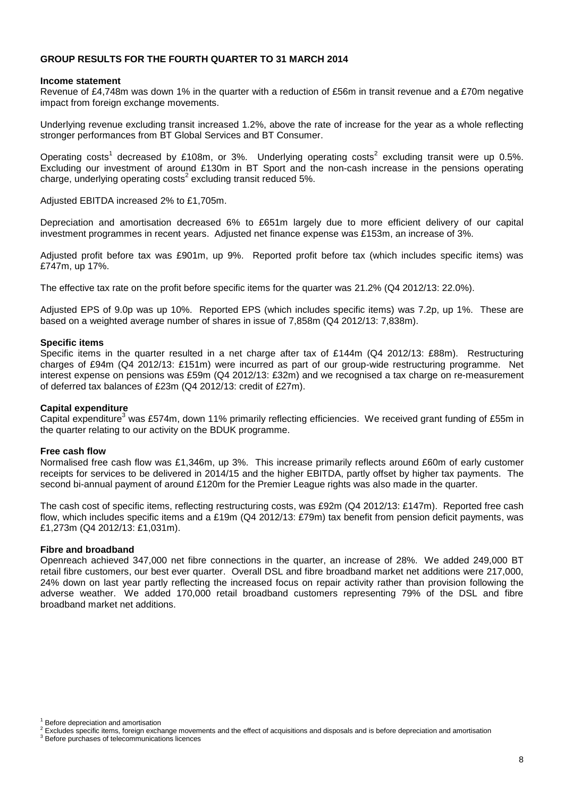## **GROUP RESULTS FOR THE FOURTH QUARTER TO 31 MARCH 2014**

#### **Income statement**

Revenue of £4,748m was down 1% in the quarter with a reduction of £56m in transit revenue and a £70m negative impact from foreign exchange movements.

Underlying revenue excluding transit increased 1.2%, above the rate of increase for the year as a whole reflecting stronger performances from BT Global Services and BT Consumer.

Operating costs<sup>1</sup> decreased by £108m, or 3%. Underlying operating costs<sup>2</sup> excluding transit were up 0.5%. Excluding our investment of around £130m in BT Sport and the non-cash increase in the pensions operating charge, underlying operating costs<sup>2</sup> excluding transit reduced 5%.

Adjusted EBITDA increased 2% to £1,705m.

Depreciation and amortisation decreased 6% to £651m largely due to more efficient delivery of our capital investment programmes in recent years. Adjusted net finance expense was £153m, an increase of 3%.

Adjusted profit before tax was £901m, up 9%. Reported profit before tax (which includes specific items) was £747m, up 17%.

The effective tax rate on the profit before specific items for the quarter was 21.2% (Q4 2012/13: 22.0%).

Adjusted EPS of 9.0p was up 10%. Reported EPS (which includes specific items) was 7.2p, up 1%. These are based on a weighted average number of shares in issue of 7,858m (Q4 2012/13: 7,838m).

#### **Specific items**

Specific items in the quarter resulted in a net charge after tax of £144m (Q4 2012/13: £88m). Restructuring charges of £94m (Q4 2012/13: £151m) were incurred as part of our group-wide restructuring programme. Net interest expense on pensions was £59m (Q4 2012/13: £32m) and we recognised a tax charge on re-measurement of deferred tax balances of £23m (Q4 2012/13: credit of £27m).

### **Capital expenditure**

Capital expenditure<sup>3</sup> was £574m, down 11% primarily reflecting efficiencies. We received grant funding of £55m in the quarter relating to our activity on the BDUK programme.

### **Free cash flow**

Normalised free cash flow was £1,346m, up 3%. This increase primarily reflects around £60m of early customer receipts for services to be delivered in 2014/15 and the higher EBITDA, partly offset by higher tax payments. The second bi-annual payment of around £120m for the Premier League rights was also made in the quarter.

The cash cost of specific items, reflecting restructuring costs, was £92m (Q4 2012/13: £147m). Reported free cash flow, which includes specific items and a £19m (Q4 2012/13: £79m) tax benefit from pension deficit payments, was £1,273m (Q4 2012/13: £1,031m).

### **Fibre and broadband**

Openreach achieved 347,000 net fibre connections in the quarter, an increase of 28%. We added 249,000 BT retail fibre customers, our best ever quarter. Overall DSL and fibre broadband market net additions were 217,000, 24% down on last year partly reflecting the increased focus on repair activity rather than provision following the adverse weather. We added 170,000 retail broadband customers representing 79% of the DSL and fibre broadband market net additions.

<sup>&</sup>lt;sup>1</sup> Before depreciation and amortisation

<sup>2</sup> Excludes specific items, foreign exchange movements and the effect of acquisitions and disposals and is before depreciation and amortisation

<sup>3</sup> Before purchases of telecommunications licences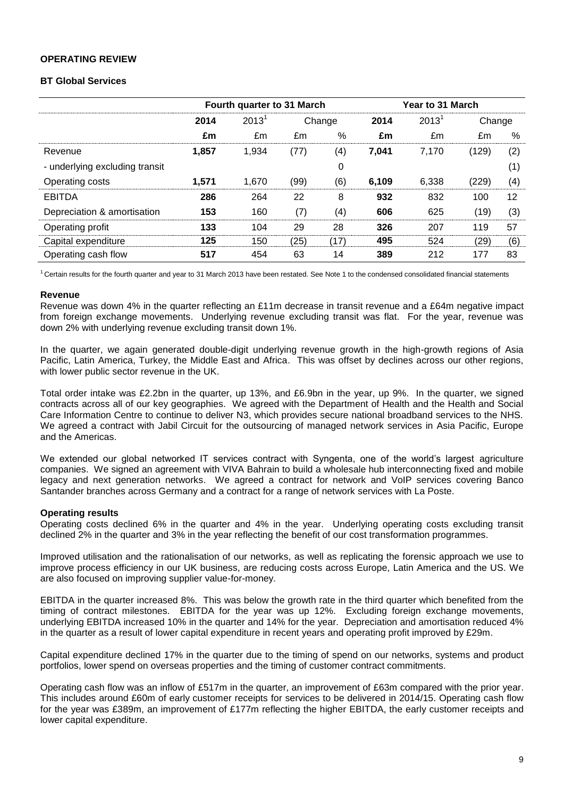## **OPERATING REVIEW**

## **BT Global Services**

|                                | Fourth quarter to 31 March |          |      |               | Year to 31 March |          |        |     |
|--------------------------------|----------------------------|----------|------|---------------|------------------|----------|--------|-----|
|                                | 2014                       | $2013^1$ |      | Change        | 2014             | $2013^1$ | Change |     |
|                                | £m                         | £m       | £m   | $\frac{0}{0}$ | £m               | £m       | £m     | %   |
| Revenue                        | 1,857                      | 1,934    | (77) | (4)           | 7.041            | 7.170    | (129)  | (2) |
| - underlying excluding transit |                            |          |      | 0             |                  |          |        | (1) |
| Operating costs                | 1,571                      | 1.670    | (99) | (6)           | 6.109            | 6.338    | (229)  | (4) |
| <b>EBITDA</b>                  | 286                        | 264      | 22   | 8             | 932              | 832      | 100    | 12  |
| Depreciation & amortisation    | 153                        | 160      | (7)  | (4)           | 606              | 625      | (19)   | (3) |
| Operating profit               | 133                        | 104      | 29   | 28            | 326              | 207      | 119    | 57  |
| Capital expenditure            | 125                        | 150      | (25) | (17)          | 495              | 524      | (29)   | (6) |
| Operating cash flow            | 517                        | 454      | 63   | 14            | 389              | 212      | 177    | 83  |

 $1$  Certain results for the fourth quarter and year to 31 March 2013 have been restated. See Note 1 to the condensed consolidated financial statements

#### **Revenue**

Revenue was down 4% in the quarter reflecting an £11m decrease in transit revenue and a £64m negative impact from foreign exchange movements. Underlying revenue excluding transit was flat. For the year, revenue was down 2% with underlying revenue excluding transit down 1%.

In the quarter, we again generated double-digit underlying revenue growth in the high-growth regions of Asia Pacific, Latin America, Turkey, the Middle East and Africa. This was offset by declines across our other regions, with lower public sector revenue in the UK.

Total order intake was £2.2bn in the quarter, up 13%, and £6.9bn in the year, up 9%. In the quarter, we signed contracts across all of our key geographies. We agreed with the Department of Health and the Health and Social Care Information Centre to continue to deliver N3, which provides secure national broadband services to the NHS. We agreed a contract with Jabil Circuit for the outsourcing of managed network services in Asia Pacific, Europe and the Americas.

We extended our global networked IT services contract with Syngenta, one of the world's largest agriculture companies. We signed an agreement with VIVA Bahrain to build a wholesale hub interconnecting fixed and mobile legacy and next generation networks. We agreed a contract for network and VoIP services covering Banco Santander branches across Germany and a contract for a range of network services with La Poste.

### **Operating results**

Operating costs declined 6% in the quarter and 4% in the year. Underlying operating costs excluding transit declined 2% in the quarter and 3% in the year reflecting the benefit of our cost transformation programmes.

Improved utilisation and the rationalisation of our networks, as well as replicating the forensic approach we use to improve process efficiency in our UK business, are reducing costs across Europe, Latin America and the US. We are also focused on improving supplier value-for-money.

EBITDA in the quarter increased 8%. This was below the growth rate in the third quarter which benefited from the timing of contract milestones. EBITDA for the year was up 12%. Excluding foreign exchange movements, underlying EBITDA increased 10% in the quarter and 14% for the year. Depreciation and amortisation reduced 4% in the quarter as a result of lower capital expenditure in recent years and operating profit improved by £29m.

Capital expenditure declined 17% in the quarter due to the timing of spend on our networks, systems and product portfolios, lower spend on overseas properties and the timing of customer contract commitments.

Operating cash flow was an inflow of £517m in the quarter, an improvement of £63m compared with the prior year. This includes around £60m of early customer receipts for services to be delivered in 2014/15. Operating cash flow for the year was £389m, an improvement of £177m reflecting the higher EBITDA, the early customer receipts and lower capital expenditure.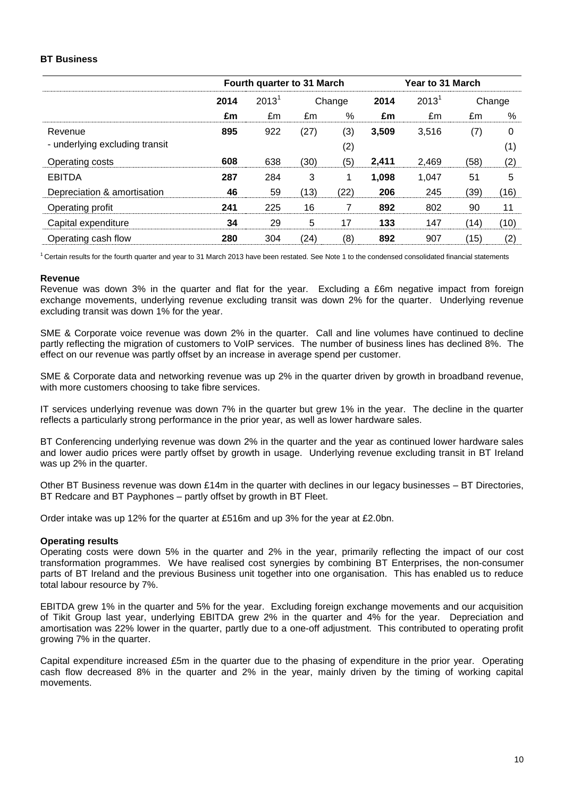## **BT Business**

|                                | Fourth quarter to 31 March |                    |      |          |        | Year to 31 March |      |      |  |
|--------------------------------|----------------------------|--------------------|------|----------|--------|------------------|------|------|--|
|                                | 2014                       | $2013^1$<br>Change | 2014 | $2013^1$ | Change |                  |      |      |  |
|                                | £m                         | £m                 | £m   | %        | £m     | £m               | £m   | %    |  |
| Revenue                        | 895                        | 922                | (27) | (3)      | 3,509  | 3,516            | (7)  | 0    |  |
| - underlying excluding transit |                            |                    |      | (2)      |        |                  |      | (1)  |  |
| Operating costs                | 608                        | 638                | (30) | (5)      | 2,411  | 2,469            | (58) | (2)  |  |
| <b>EBITDA</b>                  | 287                        | 284                | 3    | 1        | 1,098  | 1,047            | 51   | 5    |  |
| Depreciation & amortisation    | 46                         | 59                 | (13) | (22)     | 206    | 245              | (39) | (16) |  |
| Operating profit               | 241                        | 225                | 16   | 7        | 892    | 802              | 90   | 11   |  |
| Capital expenditure            | 34                         | 29                 | 5    | 17       | 133    | 147              | (14) | (10) |  |
| Operating cash flow            | 280                        | 304                | (24) | (8)      | 892    | 907              | (15) | (2)  |  |

 $1$  Certain results for the fourth quarter and year to 31 March 2013 have been restated. See Note 1 to the condensed consolidated financial statements

### **Revenue**

Revenue was down 3% in the quarter and flat for the year. Excluding a £6m negative impact from foreign exchange movements, underlying revenue excluding transit was down 2% for the quarter. Underlying revenue excluding transit was down 1% for the year.

SME & Corporate voice revenue was down 2% in the quarter. Call and line volumes have continued to decline partly reflecting the migration of customers to VoIP services. The number of business lines has declined 8%. The effect on our revenue was partly offset by an increase in average spend per customer.

SME & Corporate data and networking revenue was up 2% in the quarter driven by growth in broadband revenue, with more customers choosing to take fibre services.

IT services underlying revenue was down 7% in the quarter but grew 1% in the year. The decline in the quarter reflects a particularly strong performance in the prior year, as well as lower hardware sales.

BT Conferencing underlying revenue was down 2% in the quarter and the year as continued lower hardware sales and lower audio prices were partly offset by growth in usage. Underlying revenue excluding transit in BT Ireland was up 2% in the quarter.

Other BT Business revenue was down £14m in the quarter with declines in our legacy businesses – BT Directories, BT Redcare and BT Payphones – partly offset by growth in BT Fleet.

Order intake was up 12% for the quarter at £516m and up 3% for the year at £2.0bn.

### **Operating results**

Operating costs were down 5% in the quarter and 2% in the year, primarily reflecting the impact of our cost transformation programmes. We have realised cost synergies by combining BT Enterprises, the non-consumer parts of BT Ireland and the previous Business unit together into one organisation. This has enabled us to reduce total labour resource by 7%.

EBITDA grew 1% in the quarter and 5% for the year. Excluding foreign exchange movements and our acquisition of Tikit Group last year, underlying EBITDA grew 2% in the quarter and 4% for the year. Depreciation and amortisation was 22% lower in the quarter, partly due to a one-off adjustment. This contributed to operating profit growing 7% in the quarter.

Capital expenditure increased £5m in the quarter due to the phasing of expenditure in the prior year. Operating cash flow decreased 8% in the quarter and 2% in the year, mainly driven by the timing of working capital movements.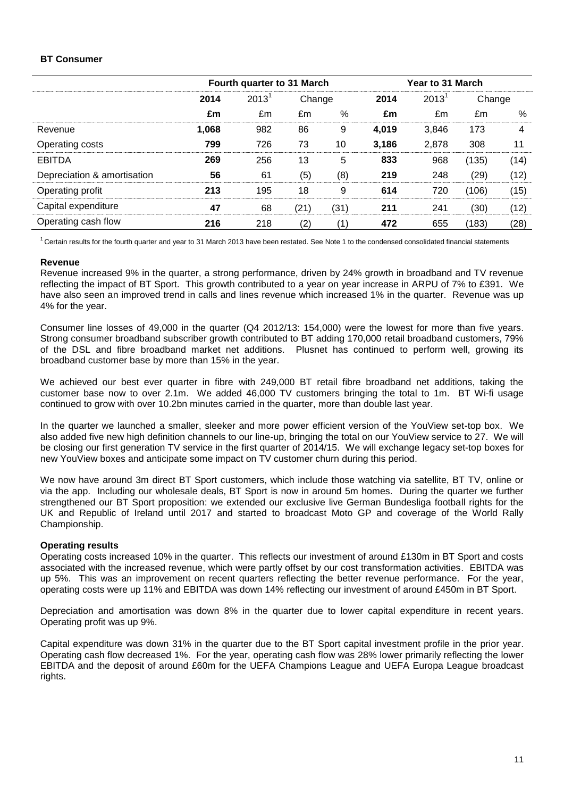## **BT Consumer**

|                             | Fourth quarter to 31 March |                   |        |      | Year to 31 March |                |        |      |
|-----------------------------|----------------------------|-------------------|--------|------|------------------|----------------|--------|------|
|                             | 2014<br>£m                 | 2013 <sup>1</sup> | Change |      | 2014             | $2013^1$<br>£m | Change |      |
|                             |                            | £m                | £m     | %    | £m               |                | £m     | %    |
| Revenue                     | 1,068                      | 982               | 86     | 9    | 4,019            | 3.846          | 173    | 4    |
| Operating costs             | 799                        | 726               | 73     | 10   | 3,186            | 2,878          | 308    | 11   |
| <b>EBITDA</b>               | 269                        | 256               | 13     | 5    | 833              | 968            | (135)  | (14) |
| Depreciation & amortisation | 56                         | 61                | (5)    | (8)  | 219              | 248            | (29)   | (12) |
| Operating profit            | 213                        | 195               | 18     | 9    | 614              | 720            | (106)  | (15) |
| Capital expenditure         | 47                         | 68                | (21)   | (31) | 211              | 241            | (30)   | (12) |
| Operating cash flow         | 216                        | 218               | (2)    | (1)  | 472              | 655            | (183)  | (28) |

<sup>1</sup> Certain results for the fourth quarter and year to 31 March 2013 have been restated. See Note 1 to the condensed consolidated financial statements

#### **Revenue**

Revenue increased 9% in the quarter, a strong performance, driven by 24% growth in broadband and TV revenue reflecting the impact of BT Sport. This growth contributed to a year on year increase in ARPU of 7% to £391. We have also seen an improved trend in calls and lines revenue which increased 1% in the quarter. Revenue was up 4% for the year.

Consumer line losses of 49,000 in the quarter (Q4 2012/13: 154,000) were the lowest for more than five years. Strong consumer broadband subscriber growth contributed to BT adding 170,000 retail broadband customers, 79% of the DSL and fibre broadband market net additions. Plusnet has continued to perform well, growing its broadband customer base by more than 15% in the year.

We achieved our best ever quarter in fibre with 249,000 BT retail fibre broadband net additions, taking the customer base now to over 2.1m. We added 46,000 TV customers bringing the total to 1m. BT Wi-fi usage continued to grow with over 10.2bn minutes carried in the quarter, more than double last year.

In the quarter we launched a smaller, sleeker and more power efficient version of the YouView set-top box. We also added five new high definition channels to our line-up, bringing the total on our YouView service to 27. We will be closing our first generation TV service in the first quarter of 2014/15. We will exchange legacy set-top boxes for new YouView boxes and anticipate some impact on TV customer churn during this period.

We now have around 3m direct BT Sport customers, which include those watching via satellite, BT TV, online or via the app. Including our wholesale deals, BT Sport is now in around 5m homes. During the quarter we further strengthened our BT Sport proposition: we extended our exclusive live German Bundesliga football rights for the UK and Republic of Ireland until 2017 and started to broadcast Moto GP and coverage of the World Rally Championship.

### **Operating results**

Operating costs increased 10% in the quarter. This reflects our investment of around £130m in BT Sport and costs associated with the increased revenue, which were partly offset by our cost transformation activities. EBITDA was up 5%. This was an improvement on recent quarters reflecting the better revenue performance. For the year, operating costs were up 11% and EBITDA was down 14% reflecting our investment of around £450m in BT Sport.

Depreciation and amortisation was down 8% in the quarter due to lower capital expenditure in recent years. Operating profit was up 9%.

Capital expenditure was down 31% in the quarter due to the BT Sport capital investment profile in the prior year. Operating cash flow decreased 1%. For the year, operating cash flow was 28% lower primarily reflecting the lower EBITDA and the deposit of around £60m for the UEFA Champions League and UEFA Europa League broadcast rights.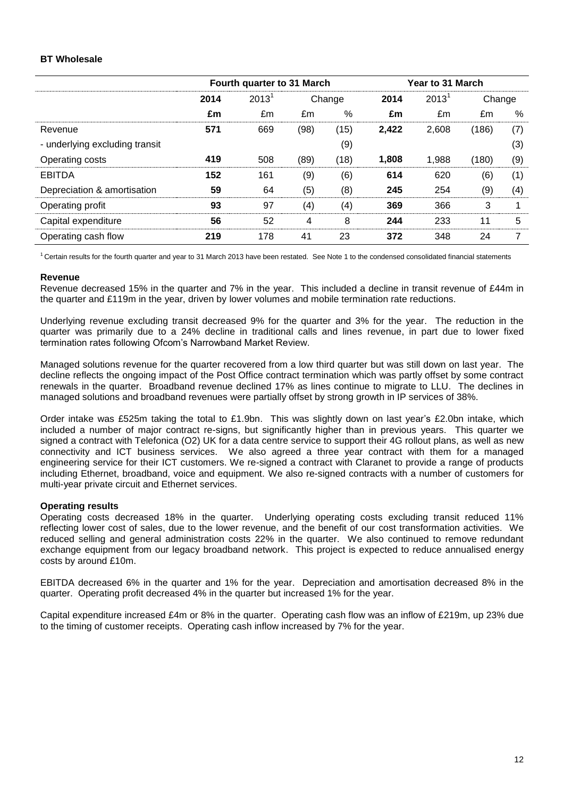## **BT Wholesale**

|                                | Fourth quarter to 31 March |          |      |        | Year to 31 March |          |        |     |
|--------------------------------|----------------------------|----------|------|--------|------------------|----------|--------|-----|
|                                | 2014                       | $2013^1$ |      | Change | 2014             | $2013^1$ | Change |     |
|                                | £m                         | £m       | £m   | %      | £m               | £m       | £m     | %   |
| Revenue                        | 571                        | 669      | (98) | (15)   | 2,422            | 2,608    | (186)  | (7) |
| - underlying excluding transit |                            |          |      | (9)    |                  |          |        | (3) |
| Operating costs                | 419                        | 508      | (89) | (18)   | 1,808            | 1,988    | (180)  | (9) |
| <b>EBITDA</b>                  | 152                        | 161      | (9)  | (6)    | 614              | 620      | (6)    | (1) |
| Depreciation & amortisation    | 59                         | 64       | (5)  | (8)    | 245              | 254      | (9)    | (4) |
| Operating profit               | 93                         | 97       | (4)  | (4)    | 369              | 366      | 3      |     |
| Capital expenditure            | 56                         | 52       | 4    | 8      | 244              | 233      | 11     | 5   |
| Operating cash flow            | 219                        | 178      | 41   | 23     | 372              | 348      | 24     |     |

 $1$  Certain results for the fourth quarter and year to 31 March 2013 have been restated. See Note 1 to the condensed consolidated financial statements

### **Revenue**

Revenue decreased 15% in the quarter and 7% in the year. This included a decline in transit revenue of £44m in the quarter and £119m in the year, driven by lower volumes and mobile termination rate reductions.

Underlying revenue excluding transit decreased 9% for the quarter and 3% for the year. The reduction in the quarter was primarily due to a 24% decline in traditional calls and lines revenue, in part due to lower fixed termination rates following Ofcom's Narrowband Market Review.

Managed solutions revenue for the quarter recovered from a low third quarter but was still down on last year. The decline reflects the ongoing impact of the Post Office contract termination which was partly offset by some contract renewals in the quarter. Broadband revenue declined 17% as lines continue to migrate to LLU. The declines in managed solutions and broadband revenues were partially offset by strong growth in IP services of 38%.

Order intake was £525m taking the total to £1.9bn. This was slightly down on last year's £2.0bn intake, which included a number of major contract re-signs, but significantly higher than in previous years. This quarter we signed a contract with Telefonica (O2) UK for a data centre service to support their 4G rollout plans, as well as new connectivity and ICT business services. We also agreed a three year contract with them for a managed engineering service for their ICT customers. We re-signed a contract with Claranet to provide a range of products including Ethernet, broadband, voice and equipment. We also re-signed contracts with a number of customers for multi-year private circuit and Ethernet services.

## **Operating results**

Operating costs decreased 18% in the quarter. Underlying operating costs excluding transit reduced 11% reflecting lower cost of sales, due to the lower revenue, and the benefit of our cost transformation activities. We reduced selling and general administration costs 22% in the quarter. We also continued to remove redundant exchange equipment from our legacy broadband network. This project is expected to reduce annualised energy costs by around £10m.

EBITDA decreased 6% in the quarter and 1% for the year. Depreciation and amortisation decreased 8% in the quarter. Operating profit decreased 4% in the quarter but increased 1% for the year.

Capital expenditure increased £4m or 8% in the quarter. Operating cash flow was an inflow of £219m, up 23% due to the timing of customer receipts. Operating cash inflow increased by 7% for the year.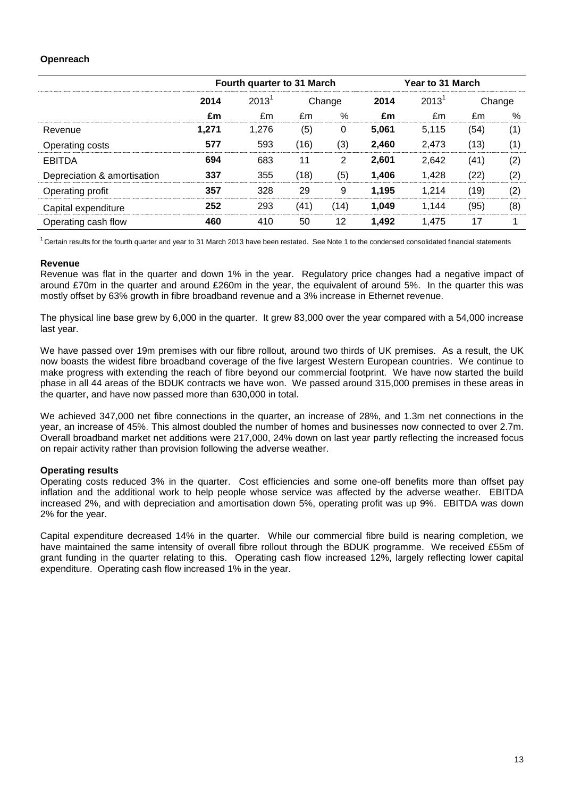## **Openreach**

|                             | Fourth quarter to 31 March |          |      |        | Year to 31 March |          |      |        |
|-----------------------------|----------------------------|----------|------|--------|------------------|----------|------|--------|
|                             | 2014                       | $2013^1$ |      | Change | 2014             | $2013^1$ |      | Change |
|                             | £m                         | £m       | £m   | %      | £m               | £m       | £m   | %      |
| Revenue                     | 1,271                      | 1,276    | (5)  | 0      | 5,061            | 5,115    | (54) | (1)    |
| Operating costs             | 577                        | 593      | (16) | (3)    | 2,460            | 2,473    | (13) | (1)    |
| <b>EBITDA</b>               | 694                        | 683      | 11   | 2      | 2,601            | 2,642    | (41) | (2)    |
| Depreciation & amortisation | 337                        | 355      | (18) | (5)    | 1,406            | 1,428    | (22) | (2)    |
| Operating profit            | 357                        | 328      | 29   | 9      | 1,195            | 1,214    | (19) | (2)    |
| Capital expenditure         | 252                        | 293      | (41) | (14)   | 1,049            | 1.144    | (95) | (8)    |
| Operating cash flow         | 460                        | 410      | 50   | 12     | 1,492            | 1.475    | 17   |        |

<sup>1</sup>Certain results for the fourth quarter and year to 31 March 2013 have been restated. See Note 1 to the condensed consolidated financial statements

#### **Revenue**

Revenue was flat in the quarter and down 1% in the year. Regulatory price changes had a negative impact of around £70m in the quarter and around £260m in the year, the equivalent of around 5%. In the quarter this was mostly offset by 63% growth in fibre broadband revenue and a 3% increase in Ethernet revenue.

The physical line base grew by 6,000 in the quarter. It grew 83,000 over the year compared with a 54,000 increase last year.

We have passed over 19m premises with our fibre rollout, around two thirds of UK premises. As a result, the UK now boasts the widest fibre broadband coverage of the five largest Western European countries. We continue to make progress with extending the reach of fibre beyond our commercial footprint. We have now started the build phase in all 44 areas of the BDUK contracts we have won. We passed around 315,000 premises in these areas in the quarter, and have now passed more than 630,000 in total.

We achieved 347,000 net fibre connections in the quarter, an increase of 28%, and 1.3m net connections in the year, an increase of 45%. This almost doubled the number of homes and businesses now connected to over 2.7m. Overall broadband market net additions were 217,000, 24% down on last year partly reflecting the increased focus on repair activity rather than provision following the adverse weather.

### **Operating results**

Operating costs reduced 3% in the quarter. Cost efficiencies and some one-off benefits more than offset pay inflation and the additional work to help people whose service was affected by the adverse weather. EBITDA increased 2%, and with depreciation and amortisation down 5%, operating profit was up 9%. EBITDA was down 2% for the year.

Capital expenditure decreased 14% in the quarter. While our commercial fibre build is nearing completion, we have maintained the same intensity of overall fibre rollout through the BDUK programme. We received £55m of grant funding in the quarter relating to this. Operating cash flow increased 12%, largely reflecting lower capital expenditure. Operating cash flow increased 1% in the year.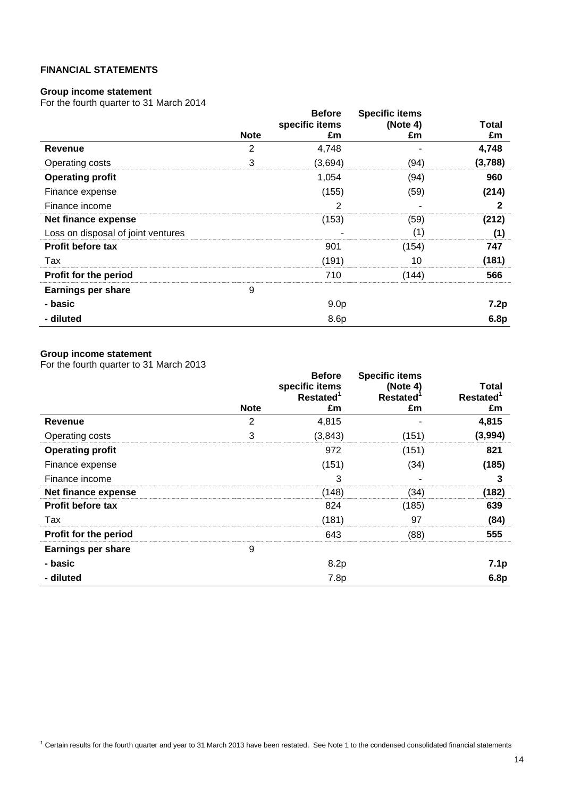## **FINANCIAL STATEMENTS**

### **Group income statement**

For the fourth quarter to 31 March 2014

|                                    |                | <b>Before</b>    | <b>Specific items</b> |         |
|------------------------------------|----------------|------------------|-----------------------|---------|
|                                    |                | specific items   | (Note 4)              | Total   |
|                                    | <b>Note</b>    | £m               | £m                    | £m      |
| <b>Revenue</b>                     | $\overline{2}$ | 4,748            |                       | 4,748   |
| Operating costs                    | 3              | (3,694)          | (94)                  | (3,788) |
| <b>Operating profit</b>            |                | 1,054            | (94)                  | 960     |
| Finance expense                    |                | (155)            | (59)                  | (214)   |
| Finance income                     |                | 2                |                       | 2       |
| Net finance expense                |                | (153)            | (59)                  | (212)   |
| Loss on disposal of joint ventures |                |                  | (1)                   | (1)     |
| <b>Profit before tax</b>           |                | 901              | (154)                 | 747     |
| Tax                                |                | (191)            | 10                    | (181)   |
| Profit for the period              |                | 710              | (144)                 | 566     |
| <b>Earnings per share</b>          | 9              |                  |                       |         |
| - basic                            |                | 9.0 <sub>p</sub> |                       | 7.2p    |
| - diluted                          |                | 8.6p             |                       | 6.8p    |

### **Group income statement**

For the fourth quarter to 31 March 2013

|                           |             | <b>Before</b><br>specific items<br>Restated <sup>1</sup> | <b>Specific items</b><br>(Note 4)<br><b>Restated</b> | Total<br>Restated <sup>1</sup> |
|---------------------------|-------------|----------------------------------------------------------|------------------------------------------------------|--------------------------------|
|                           | <b>Note</b> | £m                                                       | £m                                                   | £m                             |
| <b>Revenue</b>            | 2           | 4,815                                                    |                                                      | 4,815                          |
| Operating costs           | 3           | (3,843)                                                  | (151)                                                | (3,994)                        |
| <b>Operating profit</b>   |             | 972                                                      | (151)                                                | 821                            |
| Finance expense           |             | (151)                                                    | (34)                                                 | (185)                          |
| Finance income            |             | 3                                                        |                                                      | 3                              |
| Net finance expense       |             | (148)                                                    | (34)                                                 | (182)                          |
| <b>Profit before tax</b>  |             | 824                                                      | (185)                                                | 639                            |
| Tax                       |             | (181)                                                    | 97                                                   | (84)                           |
| Profit for the period     |             | 643                                                      | (88)                                                 | 555                            |
| <b>Earnings per share</b> | 9           |                                                          |                                                      |                                |
| - basic                   |             | 8.2p                                                     |                                                      | 7.1p                           |
| - diluted                 |             | 7.8p                                                     |                                                      | 6.8p                           |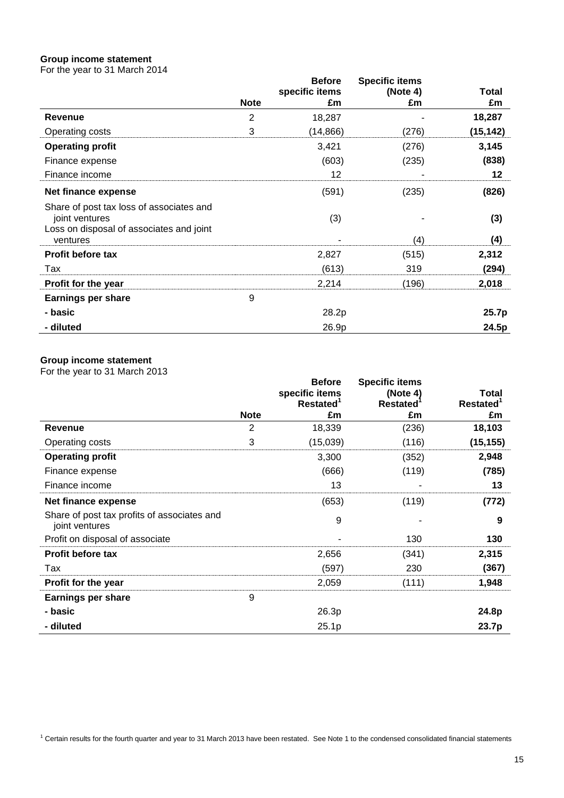## **Group income statement**

For the year to 31 March 2014

|                                                            |                | <b>Before</b>  | <b>Specific items</b> |              |
|------------------------------------------------------------|----------------|----------------|-----------------------|--------------|
|                                                            |                | specific items | (Note 4)              | <b>Total</b> |
|                                                            | <b>Note</b>    | £m             | £m                    | £m           |
| <b>Revenue</b>                                             | $\overline{2}$ | 18,287         |                       | 18,287       |
| Operating costs                                            | 3              | (14, 866)      | (276)                 | (15, 142)    |
| <b>Operating profit</b>                                    |                | 3,421          | (276)                 | 3,145        |
| Finance expense                                            |                | (603)          | (235)                 | (838)        |
| Finance income                                             |                | 12             |                       | 12           |
| Net finance expense                                        |                | (591)          | (235)                 | (826)        |
| Share of post tax loss of associates and<br>joint ventures |                | (3)            |                       | (3)          |
| Loss on disposal of associates and joint<br>ventures       |                |                | (4)                   | (4)          |
| <b>Profit before tax</b>                                   |                | 2,827          | (515)                 | 2,312        |
| Tax                                                        |                | (613)          | 319                   | (294)        |
| Profit for the year                                        |                | 2,214          | (196)                 | 2,018        |
| <b>Earnings per share</b>                                  | 9              |                |                       |              |
| - basic                                                    |                | 28.2p          |                       | 25.7p        |
| - diluted                                                  |                | 26.9p          |                       | 24.5p        |

## **Group income statement**

For the year to 31 March 2013

|                                                               |                  | <b>Before</b><br>specific items<br>Restated <sup>1</sup> | <b>Specific items</b><br>(Note 4)<br><b>Restated</b> | Total<br>Restated <sup>1</sup> |
|---------------------------------------------------------------|------------------|----------------------------------------------------------|------------------------------------------------------|--------------------------------|
| <b>Revenue</b>                                                | <b>Note</b><br>2 | £m<br>18,339                                             | £m<br>(236)                                          | £m<br>18,103                   |
| Operating costs                                               | 3                | (15,039)                                                 | (116)                                                | (15, 155)                      |
| <b>Operating profit</b>                                       |                  | 3,300                                                    | (352)                                                | 2,948                          |
| Finance expense                                               |                  | (666)                                                    | (119)                                                | (785)                          |
| Finance income                                                |                  | 13                                                       |                                                      | 13                             |
| Net finance expense                                           |                  | (653)                                                    | (119)                                                | (772)                          |
| Share of post tax profits of associates and<br>joint ventures |                  | 9                                                        |                                                      | 9                              |
| Profit on disposal of associate                               |                  |                                                          | 130                                                  | 130                            |
| <b>Profit before tax</b>                                      |                  | 2,656                                                    | (341)                                                | 2,315                          |
| Tax                                                           |                  | (597)                                                    | 230                                                  | (367)                          |
| Profit for the year                                           |                  | 2,059                                                    | (111)                                                | 1,948                          |
| <b>Earnings per share</b>                                     | 9                |                                                          |                                                      |                                |
| - basic                                                       |                  | 26.3p                                                    |                                                      | 24.8p                          |
| - diluted                                                     |                  | 25.1p                                                    |                                                      | 23.7p                          |

 $1$  Certain results for the fourth quarter and year to 31 March 2013 have been restated. See Note 1 to the condensed consolidated financial statements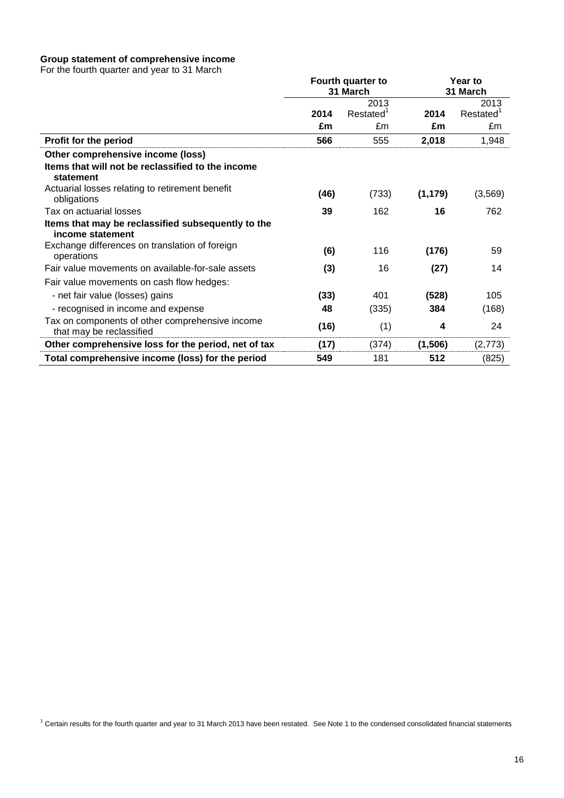### **Group statement of comprehensive income**

For the fourth quarter and year to 31 March

| Full the fuulth quarter and year to 31 March                                |                   |                       |          |          |
|-----------------------------------------------------------------------------|-------------------|-----------------------|----------|----------|
|                                                                             | Fourth quarter to |                       |          | Year to  |
|                                                                             |                   | 31 March              | 31 March |          |
|                                                                             |                   | 2013                  |          | 2013     |
|                                                                             | 2014              | Restated <sup>1</sup> | 2014     | Restated |
|                                                                             | £m                | £m                    | £m       | £m       |
| Profit for the period                                                       | 566               | 555                   | 2,018    | 1,948    |
| Other comprehensive income (loss)                                           |                   |                       |          |          |
| Items that will not be reclassified to the income                           |                   |                       |          |          |
| statement                                                                   |                   |                       |          |          |
| Actuarial losses relating to retirement benefit<br>obligations              | (46)              | (733)                 | (1, 179) | (3, 569) |
| Tax on actuarial losses                                                     | 39                | 162                   | 16       | 762      |
| Items that may be reclassified subsequently to the<br>income statement      |                   |                       |          |          |
| Exchange differences on translation of foreign<br>operations                | (6)               | 116                   | (176)    | 59       |
| Fair value movements on available-for-sale assets                           | (3)               | 16                    | (27)     | 14       |
| Fair value movements on cash flow hedges:                                   |                   |                       |          |          |
| - net fair value (losses) gains                                             | (33)              | 401                   | (528)    | 105      |
| - recognised in income and expense                                          | 48                | (335)                 | 384      | (168)    |
| Tax on components of other comprehensive income<br>that may be reclassified | (16)              | (1)                   | 4        | 24       |
| Other comprehensive loss for the period, net of tax                         | (17)              | (374)                 | (1, 506) | (2, 773) |
| Total comprehensive income (loss) for the period                            | 549               | 181                   | 512      | (825)    |

<sup>1</sup> Certain results for the fourth quarter and year to 31 March 2013 have been restated. See Note 1 to the condensed consolidated financial statements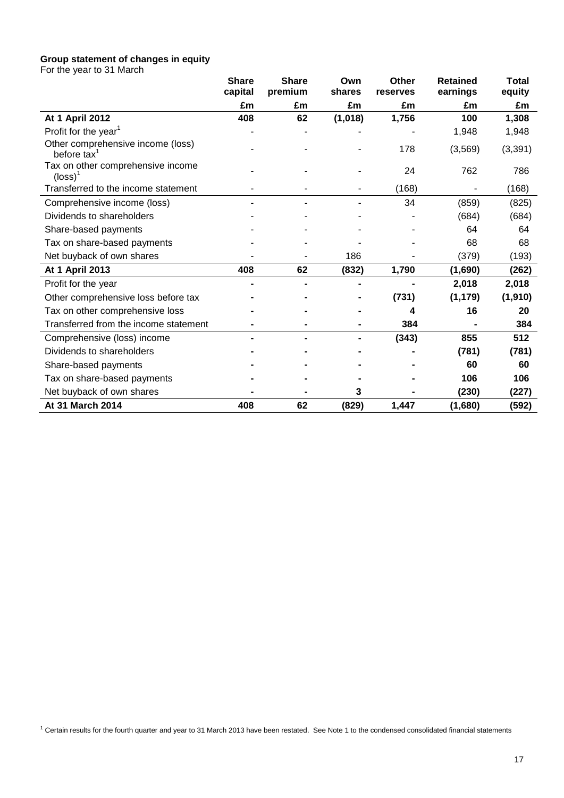## **Group statement of changes in equity**

For the year to 31 March

|                                                              | <b>Share</b><br>capital | <b>Share</b><br>premium | Own<br>shares | <b>Other</b><br>reserves | <b>Retained</b><br>earnings | <b>Total</b><br>equity |
|--------------------------------------------------------------|-------------------------|-------------------------|---------------|--------------------------|-----------------------------|------------------------|
|                                                              | £m                      | £m                      | £m            | £m                       | £m                          | £m                     |
| <b>At 1 April 2012</b>                                       | 408                     | 62                      | (1,018)       | 1,756                    | 100                         | 1,308                  |
| Profit for the year <sup>1</sup>                             |                         |                         |               |                          | 1,948                       | 1,948                  |
| Other comprehensive income (loss)<br>before tax <sup>1</sup> |                         |                         |               | 178                      | (3, 569)                    | (3, 391)               |
| Tax on other comprehensive income<br>$(logs)^1$              |                         |                         |               | 24                       | 762                         | 786                    |
| Transferred to the income statement                          |                         |                         |               | (168)                    |                             | (168)                  |
| Comprehensive income (loss)                                  |                         |                         |               | 34                       | (859)                       | (825)                  |
| Dividends to shareholders                                    |                         |                         |               |                          | (684)                       | (684)                  |
| Share-based payments                                         |                         |                         |               |                          | 64                          | 64                     |
| Tax on share-based payments                                  |                         |                         |               |                          | 68                          | 68                     |
| Net buyback of own shares                                    |                         |                         | 186           |                          | (379)                       | (193)                  |
| <b>At 1 April 2013</b>                                       | 408                     | 62                      | (832)         | 1,790                    | (1,690)                     | (262)                  |
| Profit for the year                                          |                         |                         |               |                          | 2,018                       | 2,018                  |
| Other comprehensive loss before tax                          |                         |                         |               | (731)                    | (1, 179)                    | (1, 910)               |
| Tax on other comprehensive loss                              |                         |                         |               | 4                        | 16                          | 20                     |
| Transferred from the income statement                        |                         |                         |               | 384                      |                             | 384                    |
| Comprehensive (loss) income                                  |                         |                         |               | (343)                    | 855                         | 512                    |
| Dividends to shareholders                                    |                         |                         |               |                          | (781)                       | (781)                  |
| Share-based payments                                         |                         |                         |               |                          | 60                          | 60                     |
| Tax on share-based payments                                  |                         |                         |               |                          | 106                         | 106                    |
| Net buyback of own shares                                    |                         |                         | 3             |                          | (230)                       | (227)                  |
| At 31 March 2014                                             | 408                     | 62                      | (829)         | 1,447                    | (1,680)                     | (592)                  |

 $1$  Certain results for the fourth quarter and year to 31 March 2013 have been restated. See Note 1 to the condensed consolidated financial statements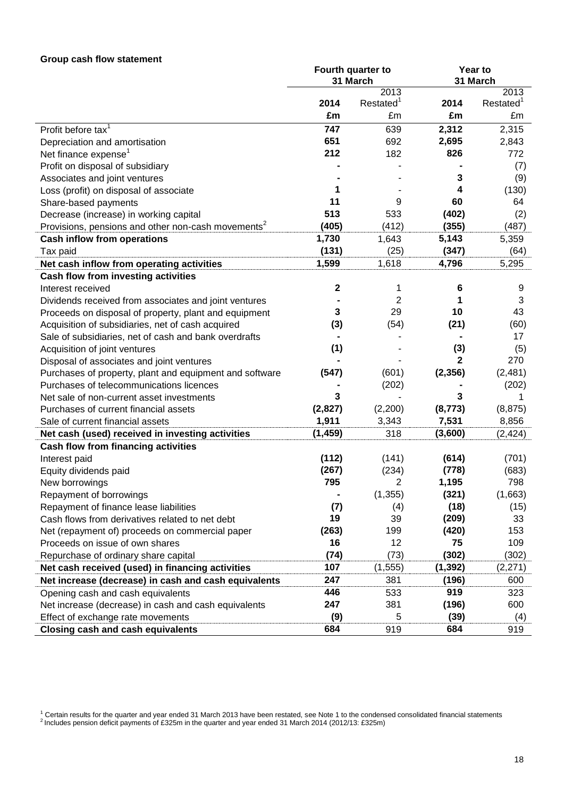## **Group cash flow statement**

|                                                                | Fourth quarter to |                       | Year to  |                       |
|----------------------------------------------------------------|-------------------|-----------------------|----------|-----------------------|
|                                                                |                   | 31 March              |          | 31 March              |
|                                                                |                   | 2013                  |          | 2013                  |
|                                                                | 2014              | Restated <sup>1</sup> | 2014     | Restated <sup>1</sup> |
|                                                                | £m                | £m                    | £m       | £m                    |
| Profit before tax <sup>1</sup>                                 | 747               | 639                   | 2,312    | 2,315                 |
| Depreciation and amortisation                                  | 651               | 692                   | 2,695    | 2,843                 |
| Net finance expense <sup>1</sup>                               | 212               | 182                   | 826      | 772                   |
| Profit on disposal of subsidiary                               |                   |                       |          | (7)                   |
| Associates and joint ventures                                  |                   |                       | 3        | (9)                   |
| Loss (profit) on disposal of associate                         |                   |                       | 4        | (130)                 |
| Share-based payments                                           | 11                | 9                     | 60       | 64                    |
| Decrease (increase) in working capital                         | 513               | 533                   | (402)    | (2)                   |
| Provisions, pensions and other non-cash movements <sup>2</sup> | (405)             | (412)                 | (355)    | (487)                 |
| <b>Cash inflow from operations</b>                             | 1,730             | 1,643                 | 5,143    | 5,359                 |
| Tax paid                                                       | (131)             | (25)                  | (347)    | (64)                  |
| Net cash inflow from operating activities                      | 1,599             | 1,618                 | 4,796    | 5,295                 |
| <b>Cash flow from investing activities</b>                     |                   |                       |          |                       |
| Interest received                                              | 2                 | 1                     | 6        | 9                     |
| Dividends received from associates and joint ventures          |                   | 2                     |          | 3                     |
| Proceeds on disposal of property, plant and equipment          | 3                 | 29                    | 10       | 43                    |
| Acquisition of subsidiaries, net of cash acquired              | (3)               | (54)                  | (21)     | (60)                  |
| Sale of subsidiaries, net of cash and bank overdrafts          |                   |                       |          | 17                    |
| Acquisition of joint ventures                                  | (1)               |                       | (3)      | (5)                   |
| Disposal of associates and joint ventures                      |                   |                       | 2        | 270                   |
| Purchases of property, plant and equipment and software        | (547)             | (601)                 | (2, 356) | (2,481)               |
| Purchases of telecommunications licences                       |                   | (202)                 |          | (202)                 |
| Net sale of non-current asset investments                      | 3                 |                       | 3        | 1                     |
| Purchases of current financial assets                          | (2,827)           | (2,200)               | (8, 773) | (8, 875)              |
| Sale of current financial assets                               | 1,911             | 3,343                 | 7,531    | 8,856                 |
| Net cash (used) received in investing activities               | (1, 459)          | 318                   | (3,600)  | (2, 424)              |
| <b>Cash flow from financing activities</b>                     |                   |                       |          |                       |
| Interest paid                                                  | (112)             | (141)                 | (614)    | (701)                 |
| Equity dividends paid                                          | (267)             | (234)                 | (778)    | (683)                 |
| New borrowings                                                 | 795               | 2                     | 1,195    | 798                   |
| Repayment of borrowings                                        |                   | (1, 355)              | (321)    | (1,663)               |
| Repayment of finance lease liabilities                         | (7)               | (4)                   | (18)     | (15)                  |
| Cash flows from derivatives related to net debt                | 19                | 39                    | (209)    | 33                    |
| Net (repayment of) proceeds on commercial paper                | (263)             | 199                   | (420)    | 153                   |
| Proceeds on issue of own shares                                | 16                | 12                    | 75       | 109                   |
| Repurchase of ordinary share capital                           | (74)              | (73)                  | (302)    | (302)                 |
| Net cash received (used) in financing activities               | 107               | (1, 555)              | (1, 392) | (2,271)               |
| Net increase (decrease) in cash and cash equivalents           | 247               | 381                   | (196)    | 600                   |
| Opening cash and cash equivalents                              | 446               | 533                   | 919      | 323                   |
| Net increase (decrease) in cash and cash equivalents           | 247               | 381                   | (196)    | 600                   |
| Effect of exchange rate movements                              | (9)               | 5                     | (39)     | (4)                   |
| <b>Closing cash and cash equivalents</b>                       | 684               | 919                   | 684      | 919                   |

 $1$  Certain results for the quarter and year ended 31 March 2013 have been restated, see Note 1 to the condensed consolidated financial statements

<sup>2</sup> Includes pension deficit payments of £325m in the quarter and year ended 31 March 2014 (2012/13: £325m)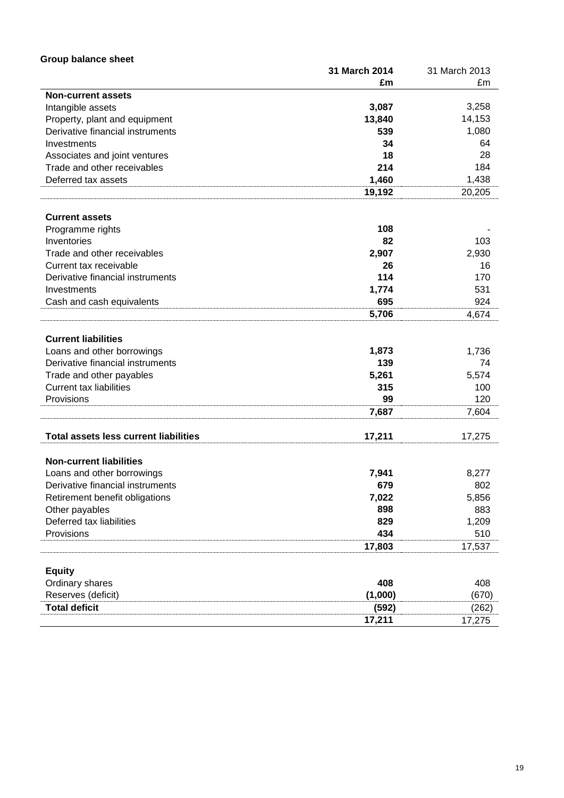## **Group balance sheet**

|                                              | 31 March 2014 | 31 March 2013 |
|----------------------------------------------|---------------|---------------|
|                                              | £m            | £m            |
| <b>Non-current assets</b>                    |               |               |
| Intangible assets                            | 3,087         | 3,258         |
| Property, plant and equipment                | 13,840        | 14,153        |
| Derivative financial instruments             | 539           | 1,080         |
| Investments                                  | 34            | 64            |
| Associates and joint ventures                | 18            | 28            |
| Trade and other receivables                  | 214           | 184           |
| Deferred tax assets                          | 1,460         | 1,438         |
|                                              | 19,192        | 20,205        |
|                                              |               |               |
| <b>Current assets</b>                        |               |               |
| Programme rights                             | 108           |               |
| Inventories                                  | 82            | 103           |
| Trade and other receivables                  | 2,907         | 2,930         |
| Current tax receivable                       | 26            | 16            |
| Derivative financial instruments             | 114           | 170           |
| Investments                                  | 1,774         | 531           |
| Cash and cash equivalents                    | 695           | 924           |
|                                              | 5,706         | 4,674         |
| <b>Current liabilities</b>                   |               |               |
| Loans and other borrowings                   | 1,873         | 1,736         |
| Derivative financial instruments             | 139           | 74            |
| Trade and other payables                     | 5,261         | 5,574         |
| <b>Current tax liabilities</b>               | 315           | 100           |
| Provisions                                   | 99            | 120           |
|                                              | 7,687         | 7,604         |
|                                              |               |               |
| <b>Total assets less current liabilities</b> | 17,211        | 17,275        |
|                                              |               |               |
| <b>Non-current liabilities</b>               |               |               |
| Loans and other borrowings                   | 7,941         | 8,277         |
| Derivative financial instruments             | 679           | 802           |
| Retirement benefit obligations               | 7,022<br>898  | 5,856         |
| Other payables<br>Deferred tax liabilities   | 829           | 883           |
|                                              | 434           | 1,209         |
| Provisions                                   |               | 510           |
|                                              | 17,803        | 17,537        |
| <b>Equity</b>                                |               |               |
| Ordinary shares                              | 408           | 408           |
| Reserves (deficit)                           | (1,000)       | (670)         |
| <b>Total deficit</b>                         | (592)         | (262)         |
|                                              | 17,211        | 17,275        |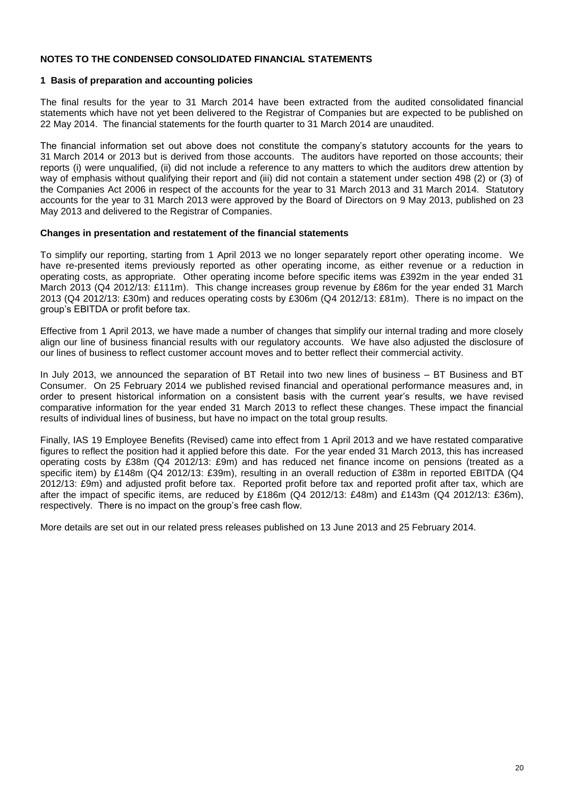## **NOTES TO THE CONDENSED CONSOLIDATED FINANCIAL STATEMENTS**

### **1 Basis of preparation and accounting policies**

The final results for the year to 31 March 2014 have been extracted from the audited consolidated financial statements which have not yet been delivered to the Registrar of Companies but are expected to be published on 22 May 2014. The financial statements for the fourth quarter to 31 March 2014 are unaudited.

The financial information set out above does not constitute the company's statutory accounts for the years to 31 March 2014 or 2013 but is derived from those accounts. The auditors have reported on those accounts; their reports (i) were unqualified, (ii) did not include a reference to any matters to which the auditors drew attention by way of emphasis without qualifying their report and (iii) did not contain a statement under section 498 (2) or (3) of the Companies Act 2006 in respect of the accounts for the year to 31 March 2013 and 31 March 2014. Statutory accounts for the year to 31 March 2013 were approved by the Board of Directors on 9 May 2013, published on 23 May 2013 and delivered to the Registrar of Companies.

### **Changes in presentation and restatement of the financial statements**

To simplify our reporting, starting from 1 April 2013 we no longer separately report other operating income. We have re-presented items previously reported as other operating income, as either revenue or a reduction in operating costs, as appropriate. Other operating income before specific items was £392m in the year ended 31 March 2013 (Q4 2012/13: £111m). This change increases group revenue by £86m for the year ended 31 March 2013 (Q4 2012/13: £30m) and reduces operating costs by £306m (Q4 2012/13: £81m). There is no impact on the group's EBITDA or profit before tax.

Effective from 1 April 2013, we have made a number of changes that simplify our internal trading and more closely align our line of business financial results with our regulatory accounts. We have also adjusted the disclosure of our lines of business to reflect customer account moves and to better reflect their commercial activity.

In July 2013, we announced the separation of BT Retail into two new lines of business – BT Business and BT Consumer. On 25 February 2014 we published revised financial and operational performance measures and, in order to present historical information on a consistent basis with the current year's results, we have revised comparative information for the year ended 31 March 2013 to reflect these changes. These impact the financial results of individual lines of business, but have no impact on the total group results.

Finally, IAS 19 Employee Benefits (Revised) came into effect from 1 April 2013 and we have restated comparative figures to reflect the position had it applied before this date. For the year ended 31 March 2013, this has increased operating costs by £38m (Q4 2012/13: £9m) and has reduced net finance income on pensions (treated as a specific item) by £148m (Q4 2012/13: £39m), resulting in an overall reduction of £38m in reported EBITDA (Q4 2012/13: £9m) and adjusted profit before tax. Reported profit before tax and reported profit after tax, which are after the impact of specific items, are reduced by £186m (Q4 2012/13: £48m) and £143m (Q4 2012/13: £36m), respectively. There is no impact on the group's free cash flow.

More details are set out in our related press releases published on 13 June 2013 and 25 February 2014.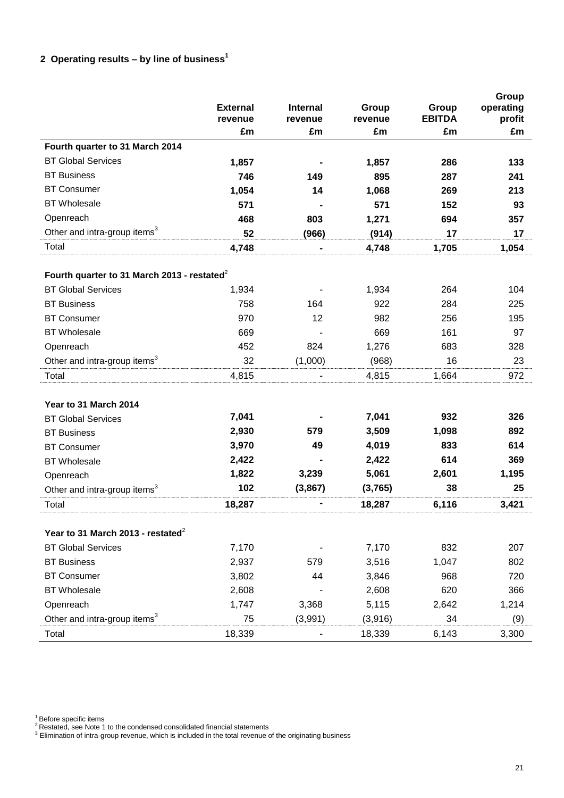# **2 Operating results – by line of business<sup>1</sup>**

|                                                         |                 |                |               |                     | Group        |
|---------------------------------------------------------|-----------------|----------------|---------------|---------------------|--------------|
|                                                         | <b>External</b> | Internal       | Group         | Group               | operating    |
|                                                         | revenue<br>£m   | revenue<br>£m  | revenue<br>£m | <b>EBITDA</b><br>£m | profit<br>£m |
|                                                         |                 |                |               |                     |              |
| Fourth quarter to 31 March 2014                         |                 |                |               |                     |              |
| <b>BT Global Services</b>                               | 1,857           |                | 1,857         | 286                 | 133          |
| <b>BT</b> Business                                      | 746             | 149            | 895           | 287                 | 241          |
| <b>BT Consumer</b>                                      | 1,054           | 14             | 1,068         | 269                 | 213          |
| <b>BT</b> Wholesale                                     | 571             |                | 571           | 152                 | 93           |
| Openreach                                               | 468             | 803            | 1,271         | 694                 | 357          |
| Other and intra-group items <sup>3</sup>                | 52              | (966)          | (914)         | 17                  | 17           |
| Total                                                   | 4,748           | $\blacksquare$ | 4,748         | 1,705               | 1,054        |
|                                                         |                 |                |               |                     |              |
| Fourth quarter to 31 March 2013 - restated <sup>2</sup> |                 |                |               |                     |              |
| <b>BT Global Services</b>                               | 1,934           |                | 1,934         | 264                 | 104          |
| <b>BT</b> Business                                      | 758             | 164            | 922           | 284                 | 225          |
| <b>BT Consumer</b>                                      | 970             | 12             | 982           | 256                 | 195          |
| <b>BT</b> Wholesale                                     | 669             |                | 669           | 161                 | 97           |
| Openreach                                               | 452             | 824            | 1,276         | 683                 | 328          |
| Other and intra-group items <sup>3</sup>                | 32              | (1,000)        | (968)         | 16                  | 23           |
| Total                                                   | 4,815           | -              | 4,815         | 1,664               | 972          |
|                                                         |                 |                |               |                     |              |
| Year to 31 March 2014                                   |                 |                |               |                     |              |
| <b>BT Global Services</b>                               | 7,041           |                | 7,041         | 932                 | 326          |
| <b>BT</b> Business                                      | 2,930           | 579            | 3,509         | 1,098               | 892          |
| <b>BT Consumer</b>                                      | 3,970           | 49             | 4,019         | 833                 | 614          |
| <b>BT</b> Wholesale                                     | 2,422           |                | 2,422         | 614                 | 369          |
| Openreach                                               | 1,822           | 3,239          | 5,061         | 2,601               | 1,195        |
| Other and intra-group items <sup>3</sup>                | 102             | (3,867)        | (3,765)       | 38                  | 25           |
| Total                                                   | 18,287          | $\blacksquare$ | 18,287        | 6,116               | 3,421        |
|                                                         |                 |                |               |                     |              |
| Year to 31 March 2013 - restated <sup>2</sup>           |                 |                |               |                     |              |
| <b>BT Global Services</b>                               | 7,170           |                | 7,170         | 832                 | 207          |
| <b>BT</b> Business                                      | 2,937           | 579            | 3,516         | 1,047               | 802          |
| <b>BT Consumer</b>                                      | 3,802           | 44             | 3,846         | 968                 | 720          |
| <b>BT</b> Wholesale                                     | 2,608           |                | 2,608         | 620                 | 366          |
| Openreach                                               | 1,747           | 3,368          | 5,115         | 2,642               | 1,214        |
| Other and intra-group items <sup>3</sup>                | 75              | (3,991)        | (3,916)       | 34                  | (9)          |
| Total                                                   | 18,339          | -              | 18,339        | 6,143               | 3,300        |

<sup>1</sup> Before specific items

 $2$  Restated, see Note 1 to the condensed consolidated financial statements

 $3$  Elimination of intra-group revenue, which is included in the total revenue of the originating business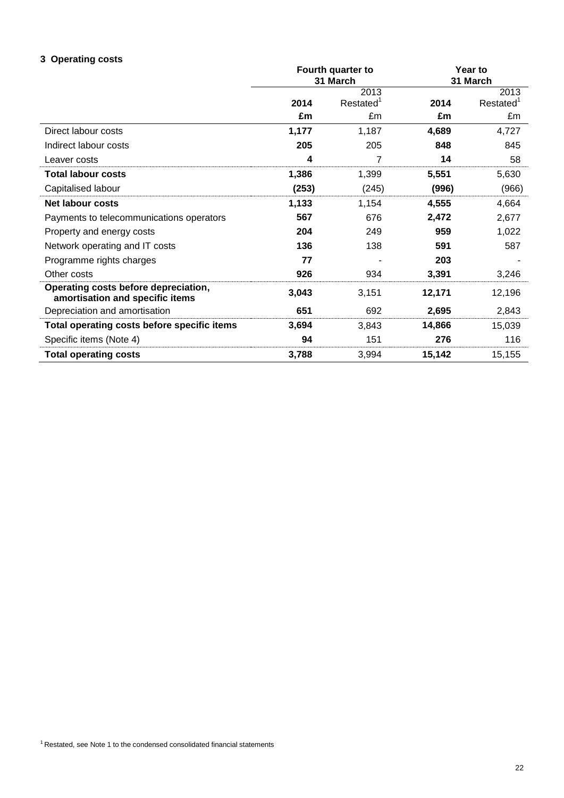# **3 Operating costs**

|                                                                         |       | Fourth quarter to     | <b>Year to</b> |                       |  |
|-------------------------------------------------------------------------|-------|-----------------------|----------------|-----------------------|--|
|                                                                         |       | 31 March              |                | 31 March              |  |
|                                                                         |       | 2013                  |                | 2013                  |  |
|                                                                         | 2014  | Restated <sup>1</sup> | 2014           | Restated <sup>1</sup> |  |
|                                                                         | £m    | £m                    | £m             | £m                    |  |
| Direct labour costs                                                     | 1,177 | 1,187                 | 4,689          | 4,727                 |  |
| Indirect labour costs                                                   | 205   | 205                   | 848            | 845                   |  |
| Leaver costs                                                            | 4     | 7                     | 14             | 58                    |  |
| <b>Total labour costs</b>                                               | 1,386 | 1,399                 | 5,551          | 5,630                 |  |
| Capitalised labour                                                      | (253) | (245)                 | (996)          | (966)                 |  |
| Net labour costs                                                        | 1,133 | 1,154                 | 4,555          | 4,664                 |  |
| Payments to telecommunications operators                                | 567   | 676                   | 2,472          | 2,677                 |  |
| Property and energy costs                                               | 204   | 249                   | 959            | 1,022                 |  |
| Network operating and IT costs                                          | 136   | 138                   | 591            | 587                   |  |
| Programme rights charges                                                | 77    |                       | 203            |                       |  |
| Other costs                                                             | 926   | 934                   | 3,391          | 3,246                 |  |
| Operating costs before depreciation,<br>amortisation and specific items | 3,043 | 3,151                 | 12,171         | 12,196                |  |
| Depreciation and amortisation                                           | 651   | 692                   | 2,695          | 2,843                 |  |
| Total operating costs before specific items                             | 3,694 | 3,843                 | 14,866         | 15,039                |  |
| Specific items (Note 4)                                                 | 94    | 151                   | 276            | 116                   |  |
| <b>Total operating costs</b>                                            | 3,788 | 3,994                 | 15,142         | 15,155                |  |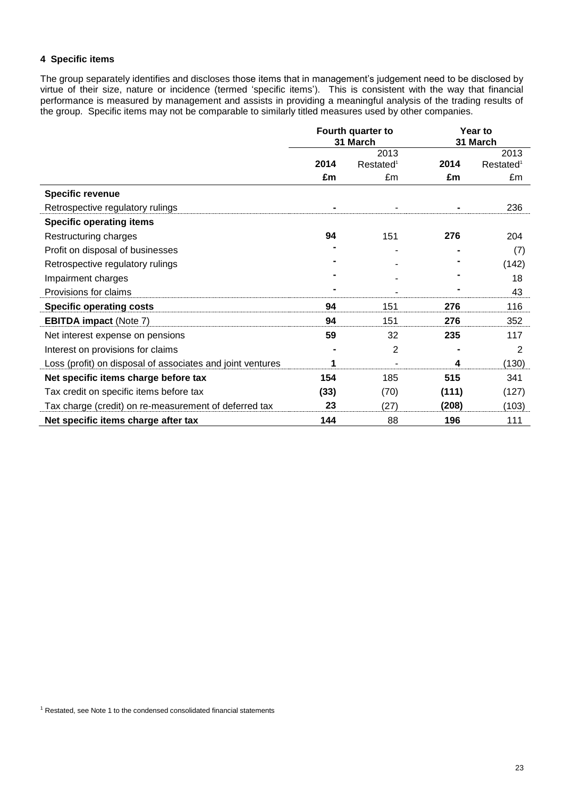## **4 Specific items**

The group separately identifies and discloses those items that in management's judgement need to be disclosed by virtue of their size, nature or incidence (termed 'specific items'). This is consistent with the way that financial performance is measured by management and assists in providing a meaningful analysis of the trading results of the group. Specific items may not be comparable to similarly titled measures used by other companies.

|                                                            | Fourth quarter to<br>31 March |                       | <b>Year to</b><br>31 March |                       |  |
|------------------------------------------------------------|-------------------------------|-----------------------|----------------------------|-----------------------|--|
|                                                            |                               | 2013                  |                            | 2013                  |  |
|                                                            | 2014                          | Restated <sup>1</sup> | 2014                       | Restated <sup>1</sup> |  |
|                                                            | £m                            | £m                    | £m                         | £m                    |  |
| <b>Specific revenue</b>                                    |                               |                       |                            |                       |  |
| Retrospective regulatory rulings                           | $\blacksquare$                |                       |                            | 236                   |  |
| <b>Specific operating items</b>                            |                               |                       |                            |                       |  |
| Restructuring charges                                      | 94                            | 151                   | 276                        | 204                   |  |
| Profit on disposal of businesses                           |                               |                       |                            | (7)                   |  |
| Retrospective regulatory rulings                           |                               |                       |                            | (142)                 |  |
| Impairment charges                                         |                               |                       |                            | 18                    |  |
| Provisions for claims                                      |                               |                       |                            | 43                    |  |
| <b>Specific operating costs</b>                            | 94                            | 151                   | 276                        | 116                   |  |
| <b>EBITDA impact (Note 7)</b>                              | 94                            | 151                   | 276                        | 352                   |  |
| Net interest expense on pensions                           | 59                            | 32                    | 235                        | 117                   |  |
| Interest on provisions for claims                          |                               | 2                     |                            | 2                     |  |
| Loss (profit) on disposal of associates and joint ventures | 1                             |                       | 4                          | (130)                 |  |
| Net specific items charge before tax                       | 154                           | 185                   | 515                        | 341                   |  |
| Tax credit on specific items before tax                    | (33)                          | (70)                  | (111)                      | (127)                 |  |
| Tax charge (credit) on re-measurement of deferred tax      | 23                            | (27)                  | (208)                      | (103)                 |  |
| Net specific items charge after tax                        | 144                           | 88                    | 196                        | 111                   |  |

<sup>1</sup> Restated, see Note 1 to the condensed consolidated financial statements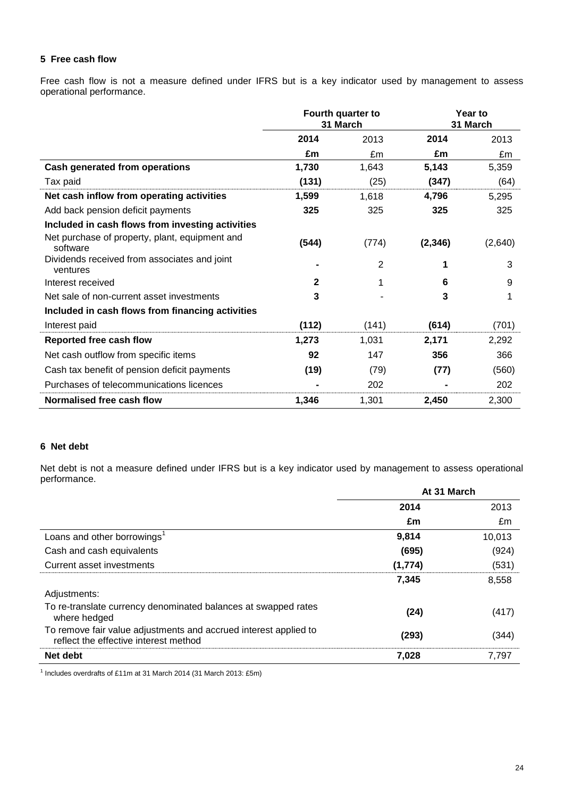## **5 Free cash flow**

Free cash flow is not a measure defined under IFRS but is a key indicator used by management to assess operational performance.

|                                                            | Fourth quarter to<br>31 March |       | Year to<br>31 March |         |
|------------------------------------------------------------|-------------------------------|-------|---------------------|---------|
|                                                            | 2014                          | 2013  | 2014                | 2013    |
|                                                            | £m                            | £m    | £m                  | £m      |
| <b>Cash generated from operations</b>                      | 1,730                         | 1,643 | 5,143               | 5,359   |
| Tax paid                                                   | (131)                         | (25)  | (347)               | (64)    |
| Net cash inflow from operating activities                  | 1,599                         | 1,618 | 4,796               | 5,295   |
| Add back pension deficit payments                          | 325                           | 325   | 325                 | 325     |
| Included in cash flows from investing activities           |                               |       |                     |         |
| Net purchase of property, plant, equipment and<br>software | (544)                         | (774) | (2, 346)            | (2,640) |
| Dividends received from associates and joint<br>ventures   |                               | 2     |                     | 3       |
| Interest received                                          | $\mathbf{2}$                  |       | 6                   | 9       |
| Net sale of non-current asset investments                  | 3                             |       | 3                   |         |
| Included in cash flows from financing activities           |                               |       |                     |         |
| Interest paid                                              | (112)                         | (141) | (614)               | (701)   |
| Reported free cash flow                                    | 1,273                         | 1,031 | 2,171               | 2,292   |
| Net cash outflow from specific items                       | 92                            | 147   | 356                 | 366     |
| Cash tax benefit of pension deficit payments               | (19)                          | (79)  | (77)                | (560)   |
| Purchases of telecommunications licences                   |                               | 202   |                     | 202     |
| Normalised free cash flow                                  | 1,346                         | 1,301 | 2,450               | 2,300   |

## **6 Net debt**

Net debt is not a measure defined under IFRS but is a key indicator used by management to assess operational performance.

|                                                                                                           | At 31 March |        |  |
|-----------------------------------------------------------------------------------------------------------|-------------|--------|--|
|                                                                                                           | 2014        | 2013   |  |
|                                                                                                           | £m          | £m     |  |
| Loans and other borrowings                                                                                | 9,814       | 10,013 |  |
| Cash and cash equivalents                                                                                 | (695)       | (924)  |  |
| Current asset investments                                                                                 | (1,774)     | (531)  |  |
|                                                                                                           | 7,345       | 8,558  |  |
| Adjustments:                                                                                              |             |        |  |
| To re-translate currency denominated balances at swapped rates<br>where hedged                            | (24)        | (417)  |  |
| To remove fair value adjustments and accrued interest applied to<br>reflect the effective interest method | (293)       | (344)  |  |
| Net debt                                                                                                  | 7,028       | 7,797  |  |

<sup>1</sup> Includes overdrafts of £11m at 31 March 2014 (31 March 2013: £5m)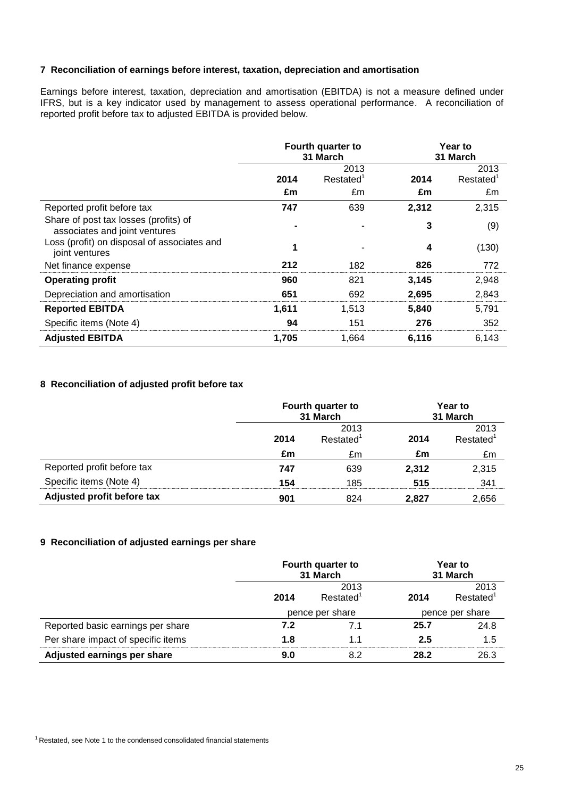## **7 Reconciliation of earnings before interest, taxation, depreciation and amortisation**

Earnings before interest, taxation, depreciation and amortisation (EBITDA) is not a measure defined under IFRS, but is a key indicator used by management to assess operational performance. A reconciliation of reported profit before tax to adjusted EBITDA is provided below.

|                                                                        | Fourth quarter to<br>31 March |                               |       | Year to<br>31 March           |
|------------------------------------------------------------------------|-------------------------------|-------------------------------|-------|-------------------------------|
|                                                                        | 2014                          | 2013<br>Restated <sup>1</sup> | 2014  | 2013<br>Restated <sup>1</sup> |
|                                                                        | £m                            | £m                            | £m    | £m                            |
| Reported profit before tax                                             | 747                           | 639                           | 2,312 | 2,315                         |
| Share of post tax losses (profits) of<br>associates and joint ventures |                               |                               | 3     | (9)                           |
| Loss (profit) on disposal of associates and<br>joint ventures          | 1                             |                               | 4     | (130)                         |
| Net finance expense                                                    | 212                           | 182                           | 826   | 772                           |
| <b>Operating profit</b>                                                | 960                           | 821                           | 3,145 | 2,948                         |
| Depreciation and amortisation                                          | 651                           | 692                           | 2,695 | 2,843                         |
| <b>Reported EBITDA</b>                                                 | 1,611                         | 1,513                         | 5,840 | 5,791                         |
| Specific items (Note 4)                                                | 94                            | 151                           | 276   | 352                           |
| <b>Adjusted EBITDA</b>                                                 | 1,705                         | 1,664                         | 6,116 | 6,143                         |

## **8 Reconciliation of adjusted profit before tax**

|                            | Fourth quarter to<br>31 March |                               | Year to<br>31 March |                               |
|----------------------------|-------------------------------|-------------------------------|---------------------|-------------------------------|
|                            | 2014                          | 2013<br>Restated <sup>1</sup> | 2014                | 2013<br>Restated <sup>1</sup> |
|                            | £m                            | £m                            | £m                  | £m                            |
| Reported profit before tax | 747                           | 639                           | 2,312               | 2,315                         |
| Specific items (Note 4)    | 154                           | 185                           | 515                 | 341                           |
| Adjusted profit before tax | 901                           | 824                           | 2,827               | 2,656                         |

## **9 Reconciliation of adjusted earnings per share**

|                                    | Fourth quarter to<br>31 March |                               | Year to<br>31 March |                               |
|------------------------------------|-------------------------------|-------------------------------|---------------------|-------------------------------|
|                                    | 2014                          | 2013<br>Restated <sup>1</sup> | 2014                | 2013<br>Restated <sup>1</sup> |
|                                    | pence per share               |                               | pence per share     |                               |
| Reported basic earnings per share  | 7.2                           | 7.1                           | 25.7                | 24.8                          |
| Per share impact of specific items | 1.8                           | 1.1                           | 2.5                 | 1.5                           |
| Adjusted earnings per share        | 9.0                           | 8.2                           | 28.2                | 26.3                          |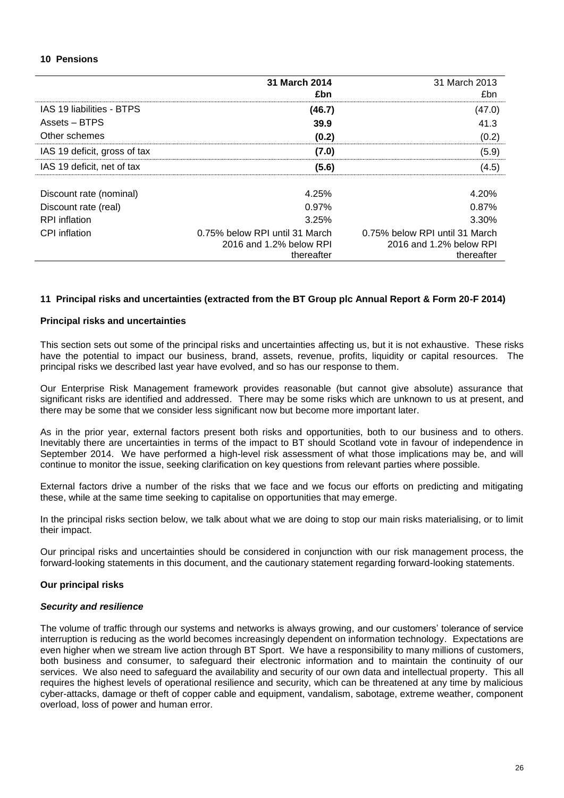## **10 Pensions**

|                              | 31 March 2014                  | 31 March 2013                  |  |
|------------------------------|--------------------------------|--------------------------------|--|
|                              | £bn                            | £bn                            |  |
| IAS 19 liabilities - BTPS    | (46.7)                         | (47.0)                         |  |
| Assets – BTPS                | 39.9                           | 41.3                           |  |
| Other schemes                | (0.2)                          | (0.2)                          |  |
| IAS 19 deficit, gross of tax | (7.0)                          | (5.9)                          |  |
| IAS 19 deficit, net of tax   | (5.6)                          | (4.5)                          |  |
|                              |                                |                                |  |
| Discount rate (nominal)      | 4.25%                          | 4.20%                          |  |
| Discount rate (real)         | $0.97\%$                       | 0.87%                          |  |
| <b>RPI</b> inflation         | 3.25%                          | 3.30%                          |  |
| <b>CPI</b> inflation         | 0.75% below RPI until 31 March | 0.75% below RPI until 31 March |  |
|                              | 2016 and 1.2% below RPI        | 2016 and 1.2% below RPI        |  |
|                              | thereafter                     | thereafter                     |  |

## **11 Principal risks and uncertainties (extracted from the BT Group plc Annual Report & Form 20-F 2014)**

## **Principal risks and uncertainties**

This section sets out some of the principal risks and uncertainties affecting us, but it is not exhaustive. These risks have the potential to impact our business, brand, assets, revenue, profits, liquidity or capital resources. The principal risks we described last year have evolved, and so has our response to them.

Our Enterprise Risk Management framework provides reasonable (but cannot give absolute) assurance that significant risks are identified and addressed. There may be some risks which are unknown to us at present, and there may be some that we consider less significant now but become more important later.

As in the prior year, external factors present both risks and opportunities, both to our business and to others. Inevitably there are uncertainties in terms of the impact to BT should Scotland vote in favour of independence in September 2014. We have performed a high-level risk assessment of what those implications may be, and will continue to monitor the issue, seeking clarification on key questions from relevant parties where possible.

External factors drive a number of the risks that we face and we focus our efforts on predicting and mitigating these, while at the same time seeking to capitalise on opportunities that may emerge.

In the principal risks section below, we talk about what we are doing to stop our main risks materialising, or to limit their impact.

Our principal risks and uncertainties should be considered in conjunction with our risk management process, the forward-looking statements in this document, and the cautionary statement regarding forward-looking statements.

## **Our principal risks**

### *Security and resilience*

The volume of traffic through our systems and networks is always growing, and our customers' tolerance of service interruption is reducing as the world becomes increasingly dependent on information technology. Expectations are even higher when we stream live action through BT Sport. We have a responsibility to many millions of customers, both business and consumer, to safeguard their electronic information and to maintain the continuity of our services. We also need to safeguard the availability and security of our own data and intellectual property. This all requires the highest levels of operational resilience and security, which can be threatened at any time by malicious cyber-attacks, damage or theft of copper cable and equipment, vandalism, sabotage, extreme weather, component overload, loss of power and human error.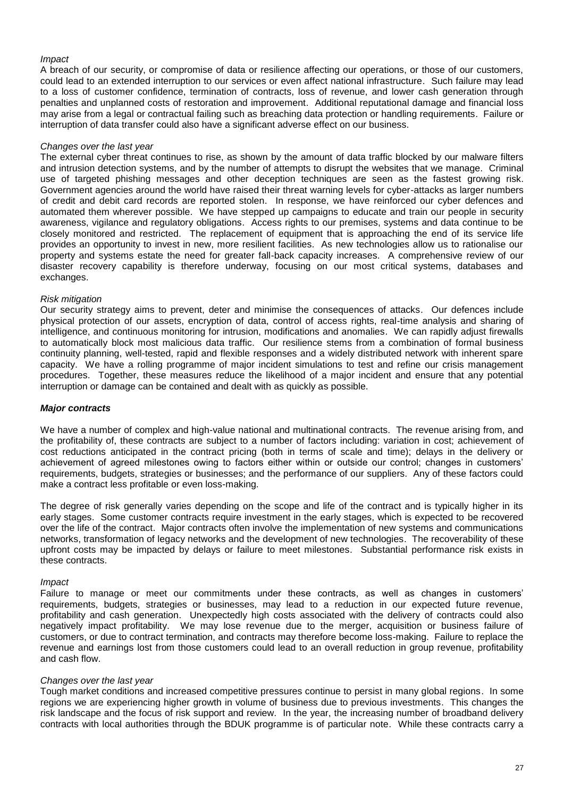## *Impact*

A breach of our security, or compromise of data or resilience affecting our operations, or those of our customers, could lead to an extended interruption to our services or even affect national infrastructure. Such failure may lead to a loss of customer confidence, termination of contracts, loss of revenue, and lower cash generation through penalties and unplanned costs of restoration and improvement. Additional reputational damage and financial loss may arise from a legal or contractual failing such as breaching data protection or handling requirements. Failure or interruption of data transfer could also have a significant adverse effect on our business.

## *Changes over the last year*

The external cyber threat continues to rise, as shown by the amount of data traffic blocked by our malware filters and intrusion detection systems, and by the number of attempts to disrupt the websites that we manage. Criminal use of targeted phishing messages and other deception techniques are seen as the fastest growing risk. Government agencies around the world have raised their threat warning levels for cyber-attacks as larger numbers of credit and debit card records are reported stolen. In response, we have reinforced our cyber defences and automated them wherever possible. We have stepped up campaigns to educate and train our people in security awareness, vigilance and regulatory obligations. Access rights to our premises, systems and data continue to be closely monitored and restricted. The replacement of equipment that is approaching the end of its service life provides an opportunity to invest in new, more resilient facilities. As new technologies allow us to rationalise our property and systems estate the need for greater fall-back capacity increases. A comprehensive review of our disaster recovery capability is therefore underway, focusing on our most critical systems, databases and exchanges.

## *Risk mitigation*

Our security strategy aims to prevent, deter and minimise the consequences of attacks. Our defences include physical protection of our assets, encryption of data, control of access rights, real-time analysis and sharing of intelligence, and continuous monitoring for intrusion, modifications and anomalies. We can rapidly adjust firewalls to automatically block most malicious data traffic. Our resilience stems from a combination of formal business continuity planning, well-tested, rapid and flexible responses and a widely distributed network with inherent spare capacity. We have a rolling programme of major incident simulations to test and refine our crisis management procedures. Together, these measures reduce the likelihood of a major incident and ensure that any potential interruption or damage can be contained and dealt with as quickly as possible.

### *Major contracts*

We have a number of complex and high-value national and multinational contracts. The revenue arising from, and the profitability of, these contracts are subject to a number of factors including: variation in cost; achievement of cost reductions anticipated in the contract pricing (both in terms of scale and time); delays in the delivery or achievement of agreed milestones owing to factors either within or outside our control; changes in customers' requirements, budgets, strategies or businesses; and the performance of our suppliers. Any of these factors could make a contract less profitable or even loss-making.

The degree of risk generally varies depending on the scope and life of the contract and is typically higher in its early stages. Some customer contracts require investment in the early stages, which is expected to be recovered over the life of the contract. Major contracts often involve the implementation of new systems and communications networks, transformation of legacy networks and the development of new technologies. The recoverability of these upfront costs may be impacted by delays or failure to meet milestones. Substantial performance risk exists in these contracts.

### *Impact*

Failure to manage or meet our commitments under these contracts, as well as changes in customers' requirements, budgets, strategies or businesses, may lead to a reduction in our expected future revenue, profitability and cash generation. Unexpectedly high costs associated with the delivery of contracts could also negatively impact profitability. We may lose revenue due to the merger, acquisition or business failure of customers, or due to contract termination, and contracts may therefore become loss-making. Failure to replace the revenue and earnings lost from those customers could lead to an overall reduction in group revenue, profitability and cash flow.

## *Changes over the last year*

Tough market conditions and increased competitive pressures continue to persist in many global regions. In some regions we are experiencing higher growth in volume of business due to previous investments. This changes the risk landscape and the focus of risk support and review. In the year, the increasing number of broadband delivery contracts with local authorities through the BDUK programme is of particular note. While these contracts carry a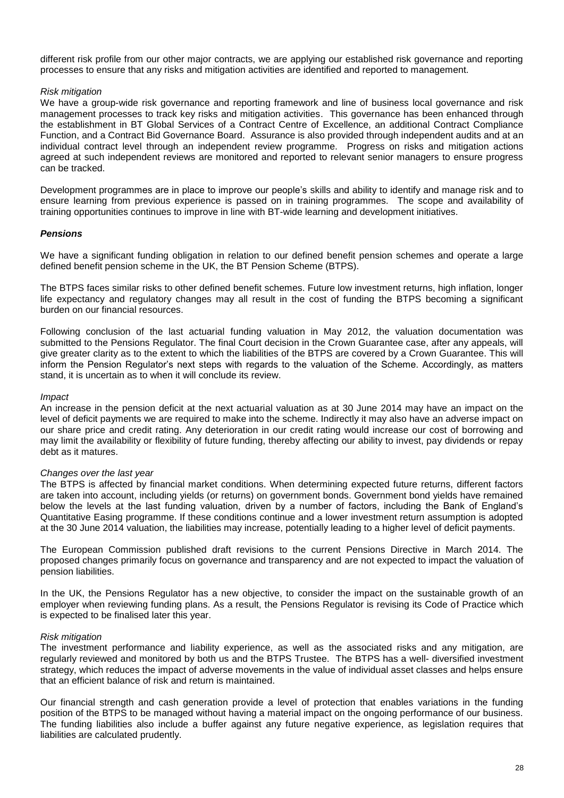different risk profile from our other major contracts, we are applying our established risk governance and reporting processes to ensure that any risks and mitigation activities are identified and reported to management.

## *Risk mitigation*

We have a group-wide risk governance and reporting framework and line of business local governance and risk management processes to track key risks and mitigation activities. This governance has been enhanced through the establishment in BT Global Services of a Contract Centre of Excellence, an additional Contract Compliance Function, and a Contract Bid Governance Board. Assurance is also provided through independent audits and at an individual contract level through an independent review programme. Progress on risks and mitigation actions agreed at such independent reviews are monitored and reported to relevant senior managers to ensure progress can be tracked.

Development programmes are in place to improve our people's skills and ability to identify and manage risk and to ensure learning from previous experience is passed on in training programmes. The scope and availability of training opportunities continues to improve in line with BT-wide learning and development initiatives.

## *Pensions*

We have a significant funding obligation in relation to our defined benefit pension schemes and operate a large defined benefit pension scheme in the UK, the BT Pension Scheme (BTPS).

The BTPS faces similar risks to other defined benefit schemes. Future low investment returns, high inflation, longer life expectancy and regulatory changes may all result in the cost of funding the BTPS becoming a significant burden on our financial resources.

Following conclusion of the last actuarial funding valuation in May 2012, the valuation documentation was submitted to the Pensions Regulator. The final Court decision in the Crown Guarantee case, after any appeals, will give greater clarity as to the extent to which the liabilities of the BTPS are covered by a Crown Guarantee. This will inform the Pension Regulator's next steps with regards to the valuation of the Scheme. Accordingly, as matters stand, it is uncertain as to when it will conclude its review.

#### *Impact*

An increase in the pension deficit at the next actuarial valuation as at 30 June 2014 may have an impact on the level of deficit payments we are required to make into the scheme. Indirectly it may also have an adverse impact on our share price and credit rating. Any deterioration in our credit rating would increase our cost of borrowing and may limit the availability or flexibility of future funding, thereby affecting our ability to invest, pay dividends or repay debt as it matures.

### *Changes over the last year*

The BTPS is affected by financial market conditions. When determining expected future returns, different factors are taken into account, including yields (or returns) on government bonds. Government bond yields have remained below the levels at the last funding valuation, driven by a number of factors, including the Bank of England's Quantitative Easing programme. If these conditions continue and a lower investment return assumption is adopted at the 30 June 2014 valuation, the liabilities may increase, potentially leading to a higher level of deficit payments.

The European Commission published draft revisions to the current Pensions Directive in March 2014. The proposed changes primarily focus on governance and transparency and are not expected to impact the valuation of pension liabilities.

In the UK, the Pensions Regulator has a new objective, to consider the impact on the sustainable growth of an employer when reviewing funding plans. As a result, the Pensions Regulator is revising its Code of Practice which is expected to be finalised later this year.

### *Risk mitigation*

The investment performance and liability experience, as well as the associated risks and any mitigation, are regularly reviewed and monitored by both us and the BTPS Trustee. The BTPS has a well- diversified investment strategy, which reduces the impact of adverse movements in the value of individual asset classes and helps ensure that an efficient balance of risk and return is maintained.

Our financial strength and cash generation provide a level of protection that enables variations in the funding position of the BTPS to be managed without having a material impact on the ongoing performance of our business. The funding liabilities also include a buffer against any future negative experience, as legislation requires that liabilities are calculated prudently.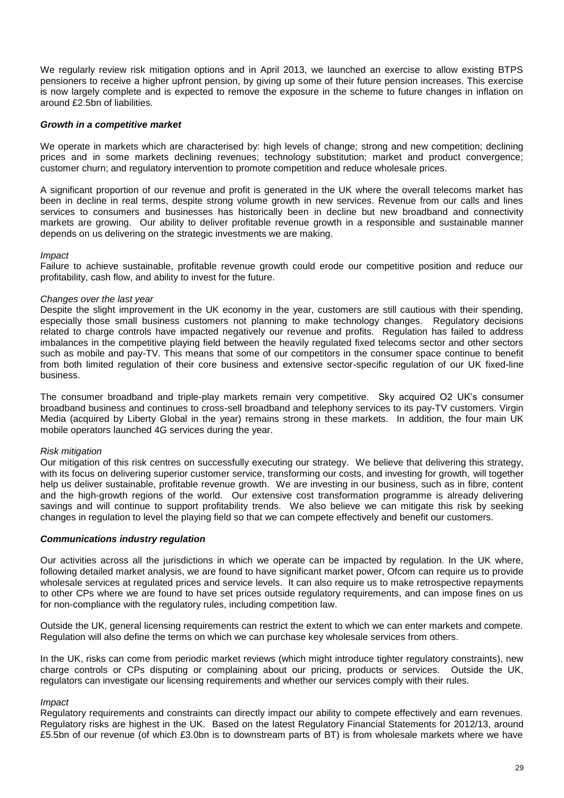We regularly review risk mitigation options and in April 2013, we launched an exercise to allow existing BTPS pensioners to receive a higher upfront pension, by giving up some of their future pension increases. This exercise is now largely complete and is expected to remove the exposure in the scheme to future changes in inflation on around £2.5bn of liabilities.

### *Growth in a competitive market*

We operate in markets which are characterised by: high levels of change; strong and new competition; declining prices and in some markets declining revenues; technology substitution; market and product convergence; customer churn; and regulatory intervention to promote competition and reduce wholesale prices.

A significant proportion of our revenue and profit is generated in the UK where the overall telecoms market has been in decline in real terms, despite strong volume growth in new services. Revenue from our calls and lines services to consumers and businesses has historically been in decline but new broadband and connectivity markets are growing. Our ability to deliver profitable revenue growth in a responsible and sustainable manner depends on us delivering on the strategic investments we are making.

### *Impact*

Failure to achieve sustainable, profitable revenue growth could erode our competitive position and reduce our profitability, cash flow, and ability to invest for the future.

### *Changes over the last year*

Despite the slight improvement in the UK economy in the year, customers are still cautious with their spending, especially those small business customers not planning to make technology changes. Regulatory decisions related to charge controls have impacted negatively our revenue and profits. Regulation has failed to address imbalances in the competitive playing field between the heavily regulated fixed telecoms sector and other sectors such as mobile and pay-TV. This means that some of our competitors in the consumer space continue to benefit from both limited regulation of their core business and extensive sector-specific regulation of our UK fixed-line business.

The consumer broadband and triple-play markets remain very competitive. Sky acquired O2 UK's consumer broadband business and continues to cross-sell broadband and telephony services to its pay-TV customers. Virgin Media (acquired by Liberty Global in the year) remains strong in these markets. In addition, the four main UK mobile operators launched 4G services during the year.

### *Risk mitigation*

Our mitigation of this risk centres on successfully executing our strategy. We believe that delivering this strategy, with its focus on delivering superior customer service, transforming our costs, and investing for growth, will together help us deliver sustainable, profitable revenue growth. We are investing in our business, such as in fibre, content and the high-growth regions of the world. Our extensive cost transformation programme is already delivering savings and will continue to support profitability trends. We also believe we can mitigate this risk by seeking changes in regulation to level the playing field so that we can compete effectively and benefit our customers.

### *Communications industry regulation*

Our activities across all the jurisdictions in which we operate can be impacted by regulation. In the UK where, following detailed market analysis, we are found to have significant market power, Ofcom can require us to provide wholesale services at regulated prices and service levels. It can also require us to make retrospective repayments to other CPs where we are found to have set prices outside regulatory requirements, and can impose fines on us for non-compliance with the regulatory rules, including competition law.

Outside the UK, general licensing requirements can restrict the extent to which we can enter markets and compete. Regulation will also define the terms on which we can purchase key wholesale services from others.

In the UK, risks can come from periodic market reviews (which might introduce tighter regulatory constraints), new charge controls or CPs disputing or complaining about our pricing, products or services. Outside the UK, regulators can investigate our licensing requirements and whether our services comply with their rules.

### *Impact*

Regulatory requirements and constraints can directly impact our ability to compete effectively and earn revenues. Regulatory risks are highest in the UK. Based on the latest Regulatory Financial Statements for 2012/13, around £5.5bn of our revenue (of which £3.0bn is to downstream parts of BT) is from wholesale markets where we have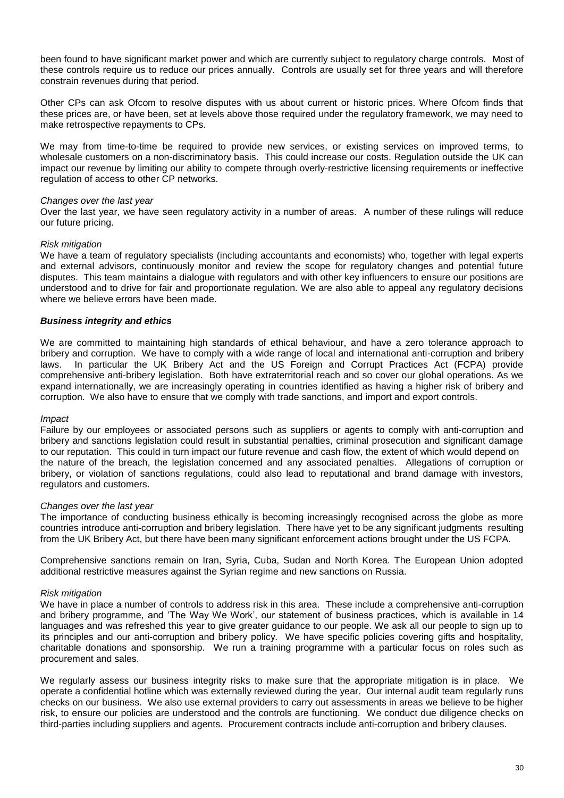been found to have significant market power and which are currently subject to regulatory charge controls. Most of these controls require us to reduce our prices annually. Controls are usually set for three years and will therefore constrain revenues during that period.

Other CPs can ask Ofcom to resolve disputes with us about current or historic prices. Where Ofcom finds that these prices are, or have been, set at levels above those required under the regulatory framework, we may need to make retrospective repayments to CPs.

We may from time-to-time be required to provide new services, or existing services on improved terms, to wholesale customers on a non-discriminatory basis. This could increase our costs. Regulation outside the UK can impact our revenue by limiting our ability to compete through overly-restrictive licensing requirements or ineffective regulation of access to other CP networks.

### *Changes over the last year*

Over the last year, we have seen regulatory activity in a number of areas. A number of these rulings will reduce our future pricing.

## *Risk mitigation*

We have a team of regulatory specialists (including accountants and economists) who, together with legal experts and external advisors, continuously monitor and review the scope for regulatory changes and potential future disputes. This team maintains a dialogue with regulators and with other key influencers to ensure our positions are understood and to drive for fair and proportionate regulation. We are also able to appeal any regulatory decisions where we believe errors have been made.

## *Business integrity and ethics*

We are committed to maintaining high standards of ethical behaviour, and have a zero tolerance approach to bribery and corruption. We have to comply with a wide range of local and international anti-corruption and bribery laws. In particular the UK Bribery Act and the US Foreign and Corrupt Practices Act (FCPA) provide comprehensive anti-bribery legislation. Both have extraterritorial reach and so cover our global operations. As we expand internationally, we are increasingly operating in countries identified as having a higher risk of bribery and corruption. We also have to ensure that we comply with trade sanctions, and import and export controls.

### *Impact*

Failure by our employees or associated persons such as suppliers or agents to comply with anti-corruption and bribery and sanctions legislation could result in substantial penalties, criminal prosecution and significant damage to our reputation. This could in turn impact our future revenue and cash flow, the extent of which would depend on the nature of the breach, the legislation concerned and any associated penalties. Allegations of corruption or bribery, or violation of sanctions regulations, could also lead to reputational and brand damage with investors, regulators and customers.

### *Changes over the last year*

The importance of conducting business ethically is becoming increasingly recognised across the globe as more countries introduce anti-corruption and bribery legislation. There have yet to be any significant judgments resulting from the UK Bribery Act, but there have been many significant enforcement actions brought under the US FCPA.

Comprehensive sanctions remain on Iran, Syria, Cuba, Sudan and North Korea. The European Union adopted additional restrictive measures against the Syrian regime and new sanctions on Russia.

### *Risk mitigation*

We have in place a number of controls to address risk in this area. These include a comprehensive anti-corruption and bribery programme, and 'The Way We Work', our statement of business practices, which is available in 14 languages and was refreshed this year to give greater guidance to our people. We ask all our people to sign up to its principles and our anti-corruption and bribery policy. We have specific policies covering gifts and hospitality, charitable donations and sponsorship. We run a training programme with a particular focus on roles such as procurement and sales.

We regularly assess our business integrity risks to make sure that the appropriate mitigation is in place. We operate a confidential hotline which was externally reviewed during the year. Our internal audit team regularly runs checks on our business. We also use external providers to carry out assessments in areas we believe to be higher risk, to ensure our policies are understood and the controls are functioning. We conduct due diligence checks on third-parties including suppliers and agents. Procurement contracts include anti-corruption and bribery clauses.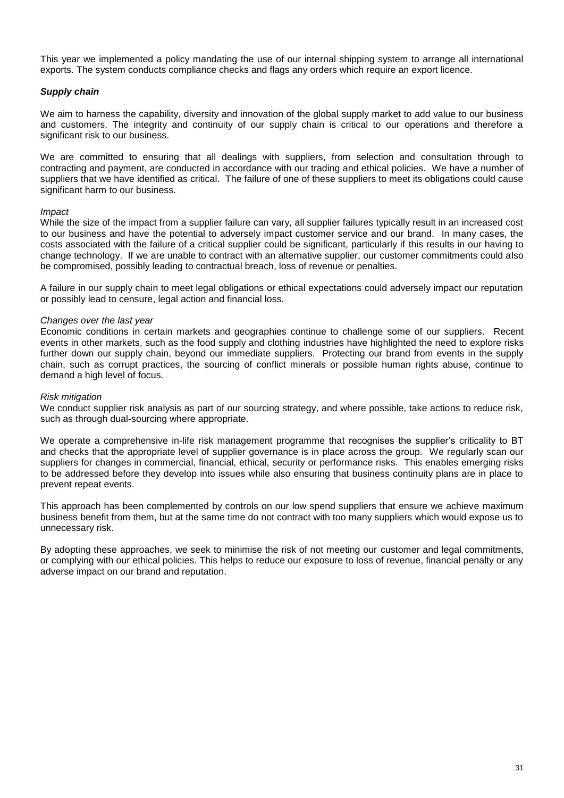This year we implemented a policy mandating the use of our internal shipping system to arrange all international exports. The system conducts compliance checks and flags any orders which require an export licence.

## *Supply chain*

We aim to harness the capability, diversity and innovation of the global supply market to add value to our business and customers. The integrity and continuity of our supply chain is critical to our operations and therefore a significant risk to our business.

We are committed to ensuring that all dealings with suppliers, from selection and consultation through to contracting and payment, are conducted in accordance with our trading and ethical policies. We have a number of suppliers that we have identified as critical. The failure of one of these suppliers to meet its obligations could cause significant harm to our business.

## *Impact*

While the size of the impact from a supplier failure can vary, all supplier failures typically result in an increased cost to our business and have the potential to adversely impact customer service and our brand. In many cases, the costs associated with the failure of a critical supplier could be significant, particularly if this results in our having to change technology. If we are unable to contract with an alternative supplier, our customer commitments could also be compromised, possibly leading to contractual breach, loss of revenue or penalties.

A failure in our supply chain to meet legal obligations or ethical expectations could adversely impact our reputation or possibly lead to censure, legal action and financial loss.

## *Changes over the last year*

Economic conditions in certain markets and geographies continue to challenge some of our suppliers. Recent events in other markets, such as the food supply and clothing industries have highlighted the need to explore risks further down our supply chain, beyond our immediate suppliers. Protecting our brand from events in the supply chain, such as corrupt practices, the sourcing of conflict minerals or possible human rights abuse, continue to demand a high level of focus.

### *Risk mitigation*

We conduct supplier risk analysis as part of our sourcing strategy, and where possible, take actions to reduce risk, such as through dual-sourcing where appropriate.

We operate a comprehensive in-life risk management programme that recognises the supplier's criticality to BT and checks that the appropriate level of supplier governance is in place across the group. We regularly scan our suppliers for changes in commercial, financial, ethical, security or performance risks. This enables emerging risks to be addressed before they develop into issues while also ensuring that business continuity plans are in place to prevent repeat events.

This approach has been complemented by controls on our low spend suppliers that ensure we achieve maximum business benefit from them, but at the same time do not contract with too many suppliers which would expose us to unnecessary risk.

By adopting these approaches, we seek to minimise the risk of not meeting our customer and legal commitments, or complying with our ethical policies. This helps to reduce our exposure to loss of revenue, financial penalty or any adverse impact on our brand and reputation.